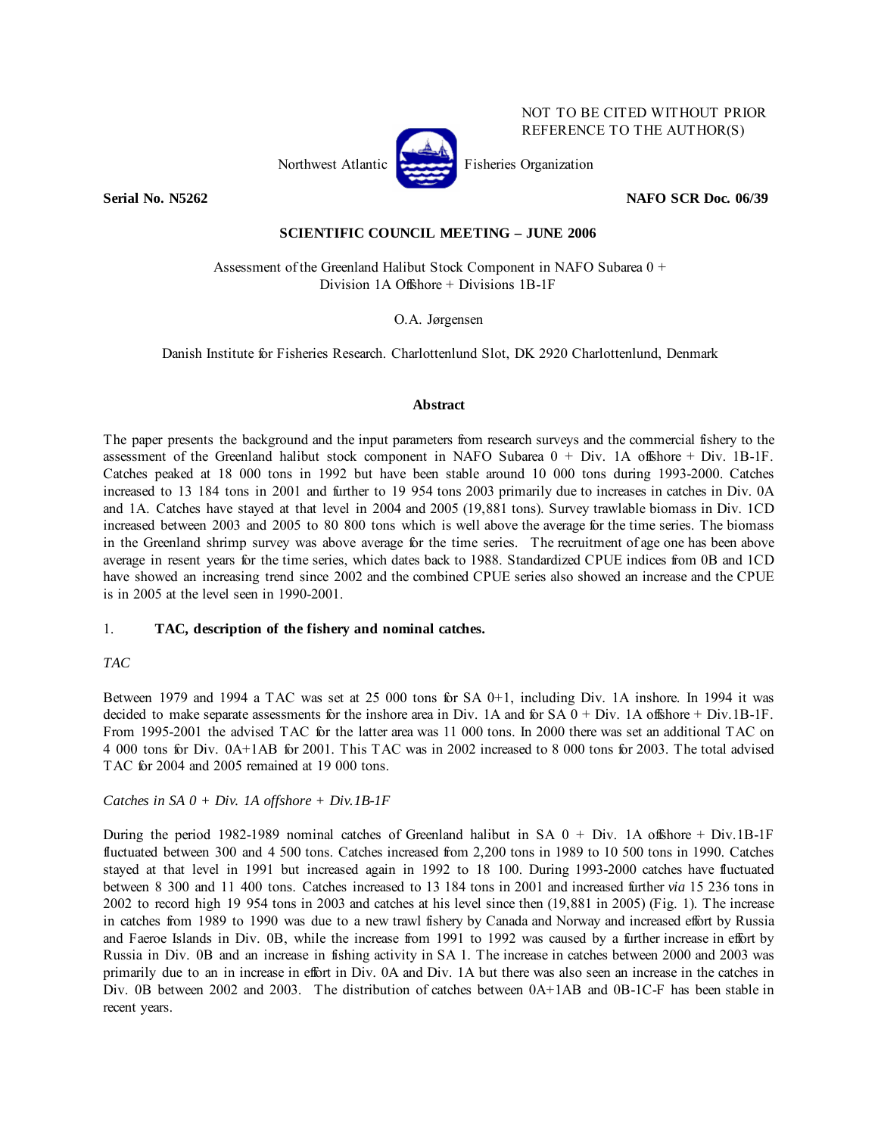

NOT TO BE CITED WITHOUT PRIOR REFERENCE TO THE AUTHOR(S)

**Serial No. N5262 NAFO SCR Doc. 06/39** 

# **SCIENTIFIC COUNCIL MEETING – JUNE 2006**

 Assessment of the Greenland Halibut Stock Component in NAFO Subarea 0 + Division 1A Offshore + Divisions 1B-1F

O.A. Jørgensen

Danish Institute for Fisheries Research. Charlottenlund Slot, DK 2920 Charlottenlund, Denmark

#### **Abstract**

The paper presents the background and the input parameters from research surveys and the commercial fishery to the assessment of the Greenland halibut stock component in NAFO Subarea  $0 + Div.$  1A offshore + Div. 1B-1F. Catches peaked at 18 000 tons in 1992 but have been stable around 10 000 tons during 1993-2000. Catches increased to 13 184 tons in 2001 and further to 19 954 tons 2003 primarily due to increases in catches in Div. 0A and 1A. Catches have stayed at that level in 2004 and 2005 (19,881 tons). Survey trawlable biomass in Div. 1CD increased between 2003 and 2005 to 80 800 tons which is well above the average for the time series. The biomass in the Greenland shrimp survey was above average for the time series. The recruitment of age one has been above average in resent years for the time series, which dates back to 1988. Standardized CPUE indices from 0B and 1CD have showed an increasing trend since 2002 and the combined CPUE series also showed an increase and the CPUE is in 2005 at the level seen in 1990-2001.

# 1. **TAC, description of the fishery and nominal catches.**

# *TAC*

Between 1979 and 1994 a TAC was set at 25 000 tons for SA 0+1, including Div. 1A inshore. In 1994 it was decided to make separate assessments for the inshore area in Div. 1A and for  $SA\ 0 + Div.$  1A offshore + Div. 1B-1F. From 1995-2001 the advised TAC for the latter area was 11 000 tons. In 2000 there was set an additional TAC on 4 000 tons for Div. 0A+1AB for 2001. This TAC was in 2002 increased to 8 000 tons for 2003. The total advised TAC for 2004 and 2005 remained at 19 000 tons.

# *Catches in SA 0 + Div. 1A offshore + Div.1B-1F*

During the period 1982-1989 nominal catches of Greenland halibut in SA  $0 + Div.$  1A offshore + Div.1B-1F fluctuated between 300 and 4 500 tons. Catches increased from 2,200 tons in 1989 to 10 500 tons in 1990. Catches stayed at that level in 1991 but increased again in 1992 to 18 100. During 1993-2000 catches have fluctuated between 8 300 and 11 400 tons. Catches increased to 13 184 tons in 2001 and increased further *via* 15 236 tons in 2002 to record high 19 954 tons in 2003 and catches at his level since then (19,881 in 2005) (Fig. 1). The increase in catches from 1989 to 1990 was due to a new trawl fishery by Canada and Norway and increased effort by Russia and Faeroe Islands in Div. 0B, while the increase from 1991 to 1992 was caused by a further increase in effort by Russia in Div. 0B and an increase in fishing activity in SA 1. The increase in catches between 2000 and 2003 was primarily due to an in increase in effort in Div. 0A and Div. 1A but there was also seen an increase in the catches in Div. 0B between 2002 and 2003. The distribution of catches between 0A+1AB and 0B-1C-F has been stable in recent years.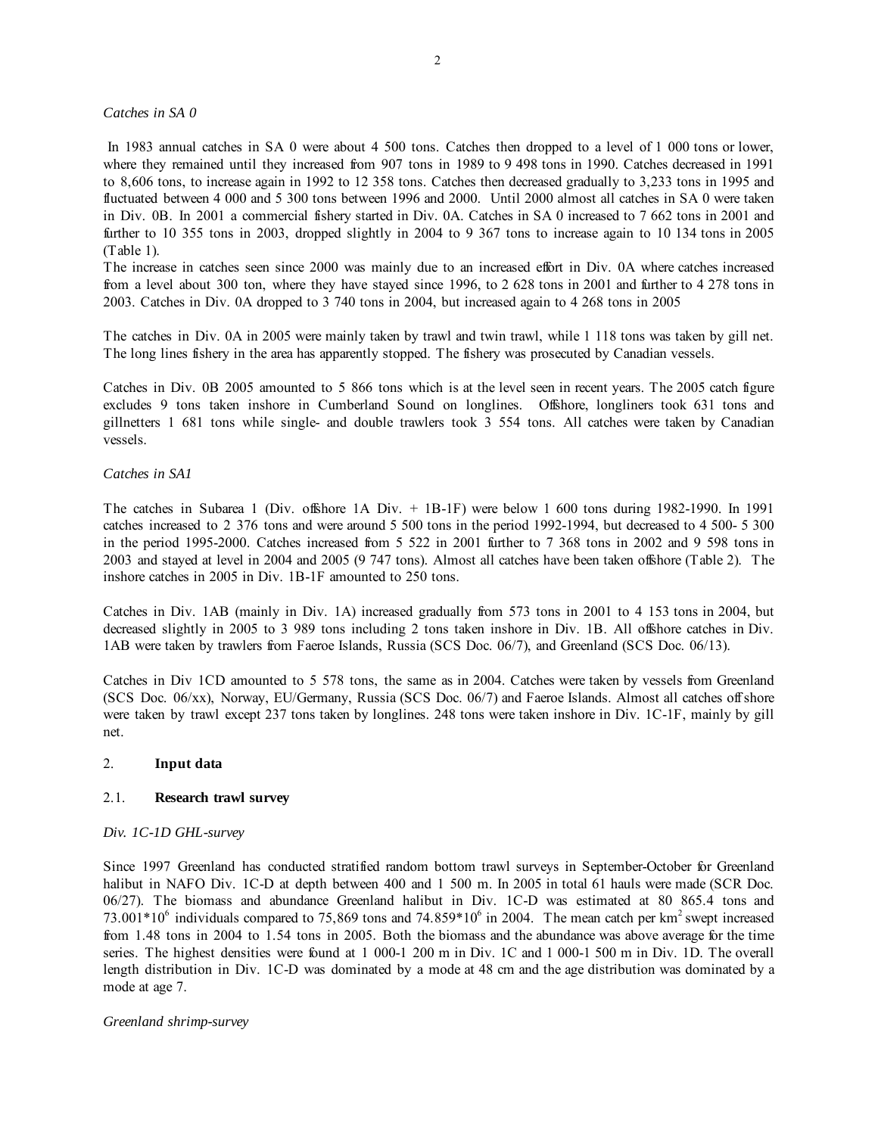*Catches in SA 0* 

 In 1983 annual catches in SA 0 were about 4 500 tons. Catches then dropped to a level of 1 000 tons or lower, where they remained until they increased from 907 tons in 1989 to 9 498 tons in 1990. Catches decreased in 1991 to 8,606 tons, to increase again in 1992 to 12 358 tons. Catches then decreased gradually to 3,233 tons in 1995 and fluctuated between 4 000 and 5 300 tons between 1996 and 2000. Until 2000 almost all catches in SA 0 were taken in Div. 0B. In 2001 a commercial fishery started in Div. 0A. Catches in SA 0 increased to 7 662 tons in 2001 and further to 10 355 tons in 2003, dropped slightly in 2004 to 9 367 tons to increase again to 10 134 tons in 2005 (Table 1).

The increase in catches seen since 2000 was mainly due to an increased effort in Div. 0A where catches increased from a level about 300 ton, where they have stayed since 1996, to 2 628 tons in 2001 and further to 4 278 tons in 2003. Catches in Div. 0A dropped to 3 740 tons in 2004, but increased again to 4 268 tons in 2005

The catches in Div. 0A in 2005 were mainly taken by trawl and twin trawl, while 1 118 tons was taken by gill net. The long lines fishery in the area has apparently stopped. The fishery was prosecuted by Canadian vessels.

Catches in Div. 0B 2005 amounted to 5 866 tons which is at the level seen in recent years. The 2005 catch figure excludes 9 tons taken inshore in Cumberland Sound on longlines. Offshore, longliners took 631 tons and gillnetters 1 681 tons while single- and double trawlers took 3 554 tons. All catches were taken by Canadian vessels.

#### *Catches in SA1*

The catches in Subarea 1 (Div. offshore 1A Div. + 1B-1F) were below 1 600 tons during 1982-1990. In 1991 catches increased to 2 376 tons and were around 5 500 tons in the period 1992-1994, but decreased to 4 500- 5 300 in the period 1995-2000. Catches increased from 5 522 in 2001 further to 7 368 tons in 2002 and 9 598 tons in 2003 and stayed at level in 2004 and 2005 (9 747 tons). Almost all catches have been taken offshore (Table 2). The inshore catches in 2005 in Div. 1B-1F amounted to 250 tons.

Catches in Div. 1AB (mainly in Div. 1A) increased gradually from 573 tons in 2001 to 4 153 tons in 2004, but decreased slightly in 2005 to 3 989 tons including 2 tons taken inshore in Div. 1B. All offshore catches in Div. 1AB were taken by trawlers from Faeroe Islands, Russia (SCS Doc. 06/7), and Greenland (SCS Doc. 06/13).

Catches in Div 1CD amounted to 5 578 tons, the same as in 2004. Catches were taken by vessels from Greenland (SCS Doc. 06/xx), Norway, EU/Germany, Russia (SCS Doc. 06/7) and Faeroe Islands. Almost all catches off shore were taken by trawl except 237 tons taken by longlines. 248 tons were taken inshore in Div. 1C-1F, mainly by gill net.

#### 2. **Input data**

#### 2.1. **Research trawl survey**

#### *Div. 1C-1D GHL-survey*

Since 1997 Greenland has conducted stratified random bottom trawl surveys in September-October for Greenland halibut in NAFO Div. 1C-D at depth between 400 and 1 500 m. In 2005 in total 61 hauls were made (SCR Doc. 06/27). The biomass and abundance Greenland halibut in Div. 1C-D was estimated at 80 865.4 tons and 73.001\*10<sup>6</sup> individuals compared to 75,869 tons and 74.859\*10<sup>6</sup> in 2004. The mean catch per km<sup>2</sup> swept increased from 1.48 tons in 2004 to 1.54 tons in 2005. Both the biomass and the abundance was above average for the time series. The highest densities were found at 1 000-1 200 m in Div. 1C and 1 000-1 500 m in Div. 1D. The overall length distribution in Div. 1C-D was dominated by a mode at 48 cm and the age distribution was dominated by a mode at age 7.

#### *Greenland shrimp-survey*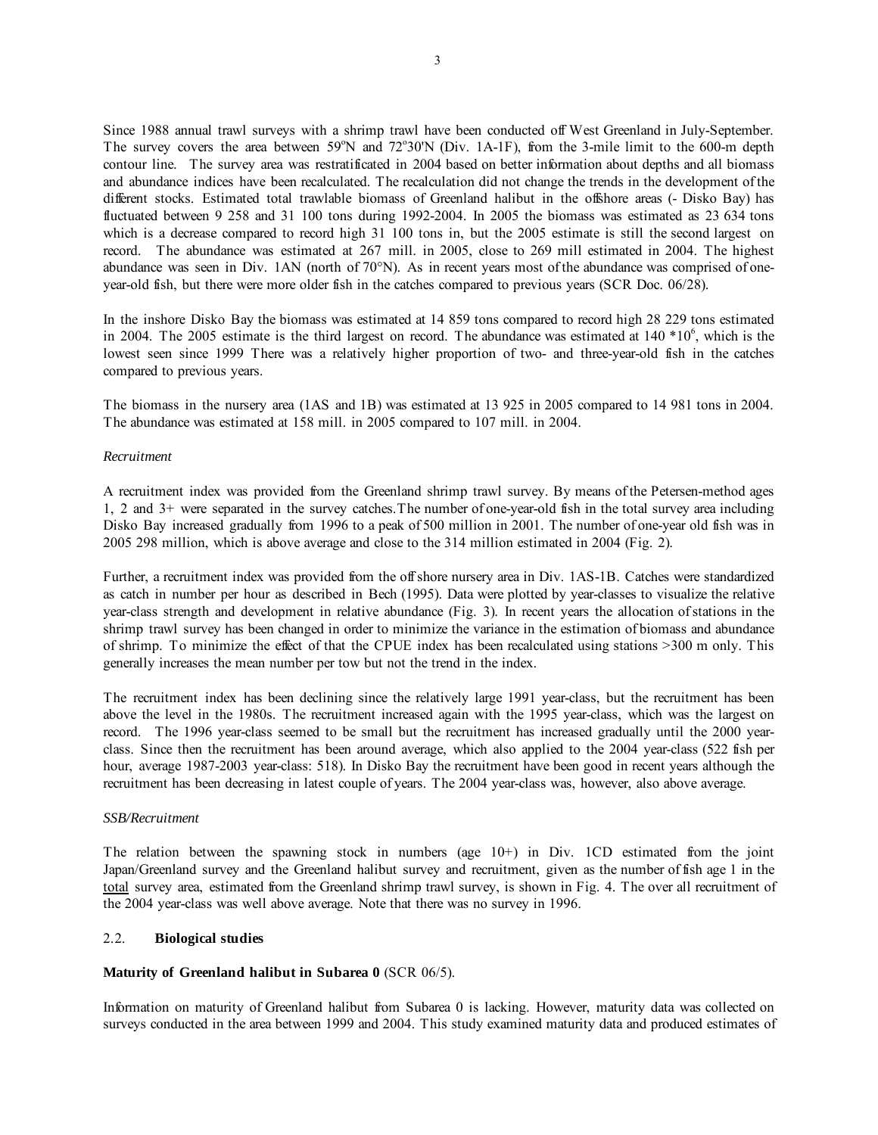Since 1988 annual trawl surveys with a shrimp trawl have been conducted off West Greenland in July-September. The survey covers the area between 59°N and 72°30'N (Div. 1A-1F), from the 3-mile limit to the 600-m depth contour line. The survey area was restratificated in 2004 based on better information about depths and all biomass and abundance indices have been recalculated. The recalculation did not change the trends in the development of the different stocks. Estimated total trawlable biomass of Greenland halibut in the offshore areas (- Disko Bay) has fluctuated between 9 258 and 31 100 tons during 1992-2004. In 2005 the biomass was estimated as 23 634 tons which is a decrease compared to record high 31 100 tons in, but the 2005 estimate is still the second largest on record. The abundance was estimated at 267 mill. in 2005, close to 269 mill estimated in 2004. The highest abundance was seen in Div. 1AN (north of 70°N). As in recent years most of the abundance was comprised of oneyear-old fish, but there were more older fish in the catches compared to previous years (SCR Doc. 06/28).

In the inshore Disko Bay the biomass was estimated at 14 859 tons compared to record high 28 229 tons estimated in 2004. The 2005 estimate is the third largest on record. The abundance was estimated at  $140 * 10<sup>6</sup>$ , which is the lowest seen since 1999 There was a relatively higher proportion of two- and three-year-old fish in the catches compared to previous years.

The biomass in the nursery area (1AS and 1B) was estimated at 13 925 in 2005 compared to 14 981 tons in 2004. The abundance was estimated at 158 mill. in 2005 compared to 107 mill. in 2004.

#### *Recruitment*

A recruitment index was provided from the Greenland shrimp trawl survey. By means of the Petersen-method ages 1, 2 and 3+ were separated in the survey catches.The number of one-year-old fish in the total survey area including Disko Bay increased gradually from 1996 to a peak of 500 million in 2001. The number of one-year old fish was in 2005 298 million, which is above average and close to the 314 million estimated in 2004 (Fig. 2).

Further, a recruitment index was provided from the off shore nursery area in Div. 1AS-1B. Catches were standardized as catch in number per hour as described in Bech (1995). Data were plotted by year-classes to visualize the relative year-class strength and development in relative abundance (Fig. 3). In recent years the allocation of stations in the shrimp trawl survey has been changed in order to minimize the variance in the estimation of biomass and abundance of shrimp. To minimize the effect of that the CPUE index has been recalculated using stations >300 m only. This generally increases the mean number per tow but not the trend in the index.

The recruitment index has been declining since the relatively large 1991 year-class, but the recruitment has been above the level in the 1980s. The recruitment increased again with the 1995 year-class, which was the largest on record. The 1996 year-class seemed to be small but the recruitment has increased gradually until the 2000 yearclass. Since then the recruitment has been around average, which also applied to the 2004 year-class (522 fish per hour, average 1987-2003 year-class: 518). In Disko Bay the recruitment have been good in recent years although the recruitment has been decreasing in latest couple of years. The 2004 year-class was, however, also above average.

#### *SSB/Recruitment*

The relation between the spawning stock in numbers (age  $10+$ ) in Div. 1CD estimated from the joint Japan/Greenland survey and the Greenland halibut survey and recruitment, given as the number of fish age 1 in the total survey area, estimated from the Greenland shrimp trawl survey, is shown in Fig. 4. The over all recruitment of the 2004 year-class was well above average. Note that there was no survey in 1996.

#### 2.2. **Biological studies**

# **Maturity of Greenland halibut in Subarea 0** (SCR 06/5).

Information on maturity of Greenland halibut from Subarea 0 is lacking. However, maturity data was collected on surveys conducted in the area between 1999 and 2004. This study examined maturity data and produced estimates of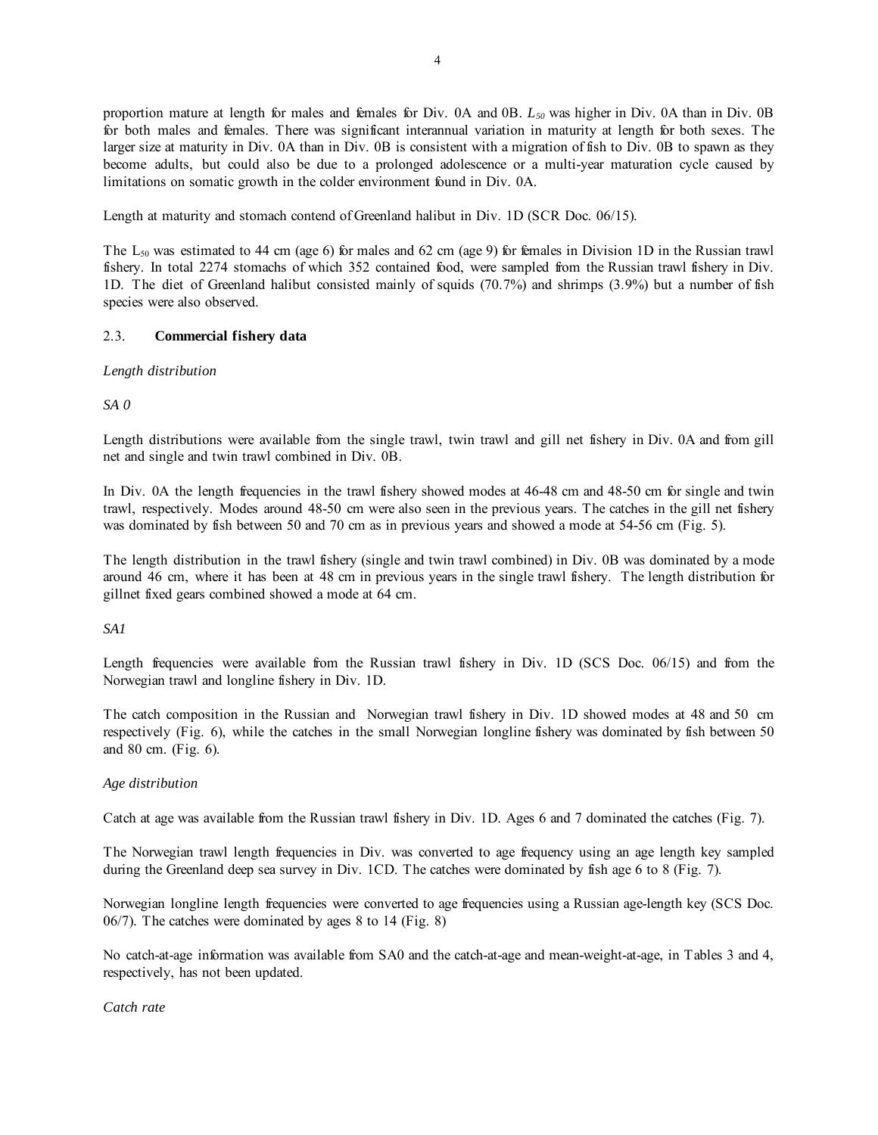proportion mature at length for males and females for Div. 0A and 0B. *L50* was higher in Div. 0A than in Div. 0B for both males and females. There was significant interannual variation in maturity at length for both sexes. The larger size at maturity in Div. 0A than in Div. 0B is consistent with a migration of fish to Div. 0B to spawn as they become adults, but could also be due to a prolonged adolescence or a multi-year maturation cycle caused by limitations on somatic growth in the colder environment found in Div. 0A.

Length at maturity and stomach contend of Greenland halibut in Div. 1D (SCR Doc. 06/15).

The  $L_{50}$  was estimated to 44 cm (age 6) for males and 62 cm (age 9) for females in Division 1D in the Russian trawl fishery. In total 2274 stomachs of which 352 contained food, were sampled from the Russian trawl fishery in Div. 1D. The diet of Greenland halibut consisted mainly of squids (70.7%) and shrimps (3.9%) but a number of fish species were also observed.

# 2.3. **Commercial fishery data**

# *Length distribution*

*SA 0* 

Length distributions were available from the single trawl, twin trawl and gill net fishery in Div. 0A and from gill net and single and twin trawl combined in Div. 0B.

In Div. 0A the length frequencies in the trawl fishery showed modes at 46-48 cm and 48-50 cm for single and twin trawl, respectively. Modes around 48-50 cm were also seen in the previous years. The catches in the gill net fishery was dominated by fish between 50 and 70 cm as in previous years and showed a mode at 54-56 cm (Fig. 5).

The length distribution in the trawl fishery (single and twin trawl combined) in Div. 0B was dominated by a mode around 46 cm, where it has been at 48 cm in previous years in the single trawl fishery. The length distribution for gillnet fixed gears combined showed a mode at 64 cm.

# *SA1*

Length frequencies were available from the Russian trawl fishery in Div. 1D (SCS Doc. 06/15) and from the Norwegian trawl and longline fishery in Div. 1D.

The catch composition in the Russian and Norwegian trawl fishery in Div. 1D showed modes at 48 and 50 cm respectively (Fig. 6), while the catches in the small Norwegian longline fishery was dominated by fish between 50 and 80 cm. (Fig. 6).

# *Age distribution*

Catch at age was available from the Russian trawl fishery in Div. 1D. Ages 6 and 7 dominated the catches (Fig. 7).

The Norwegian trawl length frequencies in Div. was converted to age frequency using an age length key sampled during the Greenland deep sea survey in Div. 1CD. The catches were dominated by fish age 6 to 8 (Fig. 7).

Norwegian longline length frequencies were converted to age frequencies using a Russian age-length key (SCS Doc. 06/7). The catches were dominated by ages 8 to 14 (Fig. 8)

No catch-at-age information was available from SA0 and the catch-at-age and mean-weight-at-age, in Tables 3 and 4, respectively, has not been updated.

*Catch rate*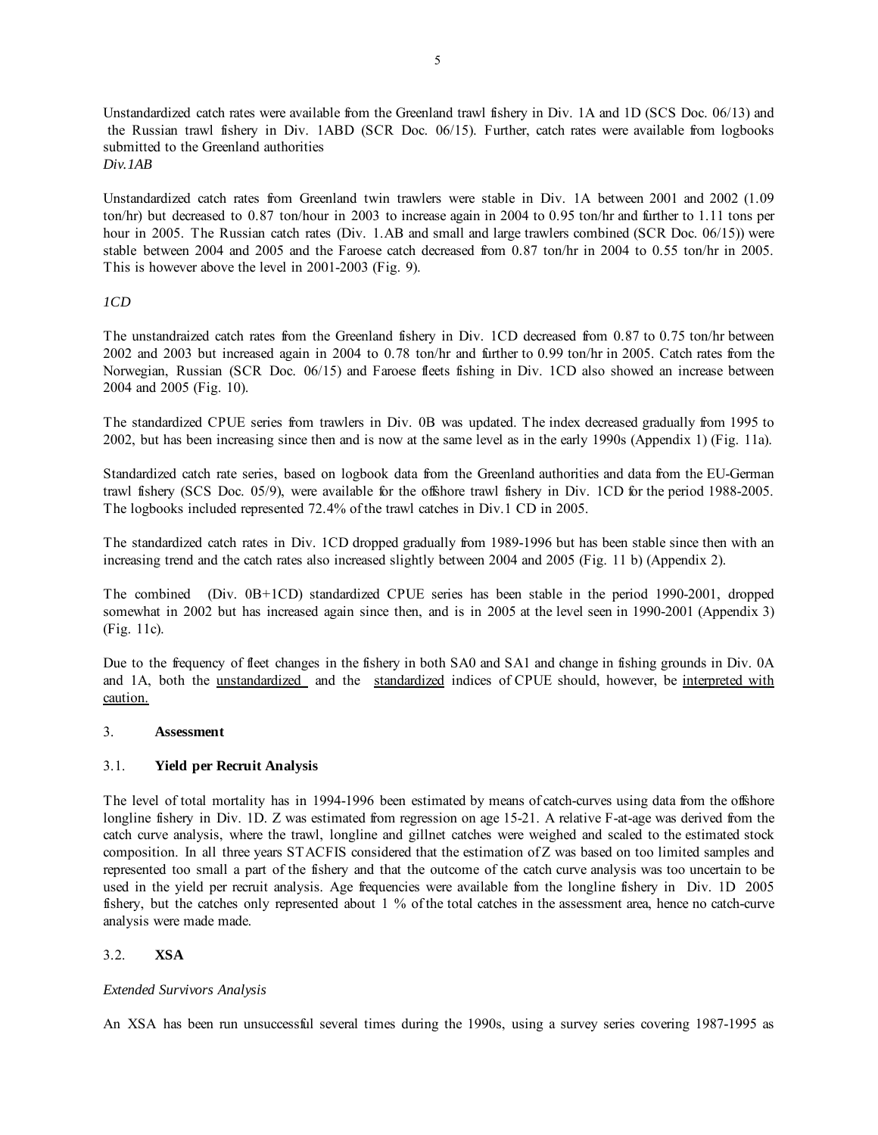Unstandardized catch rates were available from the Greenland trawl fishery in Div. 1A and 1D (SCS Doc. 06/13) and the Russian trawl fishery in Div. 1ABD (SCR Doc. 06/15). Further, catch rates were available from logbooks submitted to the Greenland authorities *Div.1AB* 

Unstandardized catch rates from Greenland twin trawlers were stable in Div. 1A between 2001 and 2002 (1.09 ton/hr) but decreased to 0.87 ton/hour in 2003 to increase again in 2004 to 0.95 ton/hr and further to 1.11 tons per hour in 2005. The Russian catch rates (Div. 1.AB and small and large trawlers combined (SCR Doc. 06/15)) were stable between 2004 and 2005 and the Faroese catch decreased from 0.87 ton/hr in 2004 to 0.55 ton/hr in 2005. This is however above the level in 2001-2003 (Fig. 9).

# *1CD*

The unstandraized catch rates from the Greenland fishery in Div. 1CD decreased from 0.87 to 0.75 ton/hr between 2002 and 2003 but increased again in 2004 to 0.78 ton/hr and further to 0.99 ton/hr in 2005. Catch rates from the Norwegian, Russian (SCR Doc. 06/15) and Faroese fleets fishing in Div. 1CD also showed an increase between 2004 and 2005 (Fig. 10).

The standardized CPUE series from trawlers in Div. 0B was updated. The index decreased gradually from 1995 to 2002, but has been increasing since then and is now at the same level as in the early 1990s (Appendix 1) (Fig. 11a).

Standardized catch rate series, based on logbook data from the Greenland authorities and data from the EU-German trawl fishery (SCS Doc. 05/9), were available for the offshore trawl fishery in Div. 1CD for the period 1988-2005. The logbooks included represented 72.4% of the trawl catches in Div.1 CD in 2005.

The standardized catch rates in Div. 1CD dropped gradually from 1989-1996 but has been stable since then with an increasing trend and the catch rates also increased slightly between 2004 and 2005 (Fig. 11 b) (Appendix 2).

The combined (Div. 0B+1CD) standardized CPUE series has been stable in the period 1990-2001, dropped somewhat in 2002 but has increased again since then, and is in 2005 at the level seen in 1990-2001 (Appendix 3) (Fig. 11c).

Due to the frequency of fleet changes in the fishery in both SA0 and SA1 and change in fishing grounds in Div. 0A and 1A, both the unstandardized and the standardized indices of CPUE should, however, be interpreted with caution.

#### 3. **Assessment**

# 3.1. **Yield per Recruit Analysis**

The level of total mortality has in 1994-1996 been estimated by means of catch-curves using data from the offshore longline fishery in Div. 1D. Z was estimated from regression on age 15-21. A relative F-at-age was derived from the catch curve analysis, where the trawl, longline and gillnet catches were weighed and scaled to the estimated stock composition. In all three years STACFIS considered that the estimation of Z was based on too limited samples and represented too small a part of the fishery and that the outcome of the catch curve analysis was too uncertain to be used in the yield per recruit analysis. Age frequencies were available from the longline fishery in Div. 1D 2005 fishery, but the catches only represented about 1 % of the total catches in the assessment area, hence no catch-curve analysis were made made.

# 3.2. **XSA**

# *Extended Survivors Analysis*

An XSA has been run unsuccessful several times during the 1990s, using a survey series covering 1987-1995 as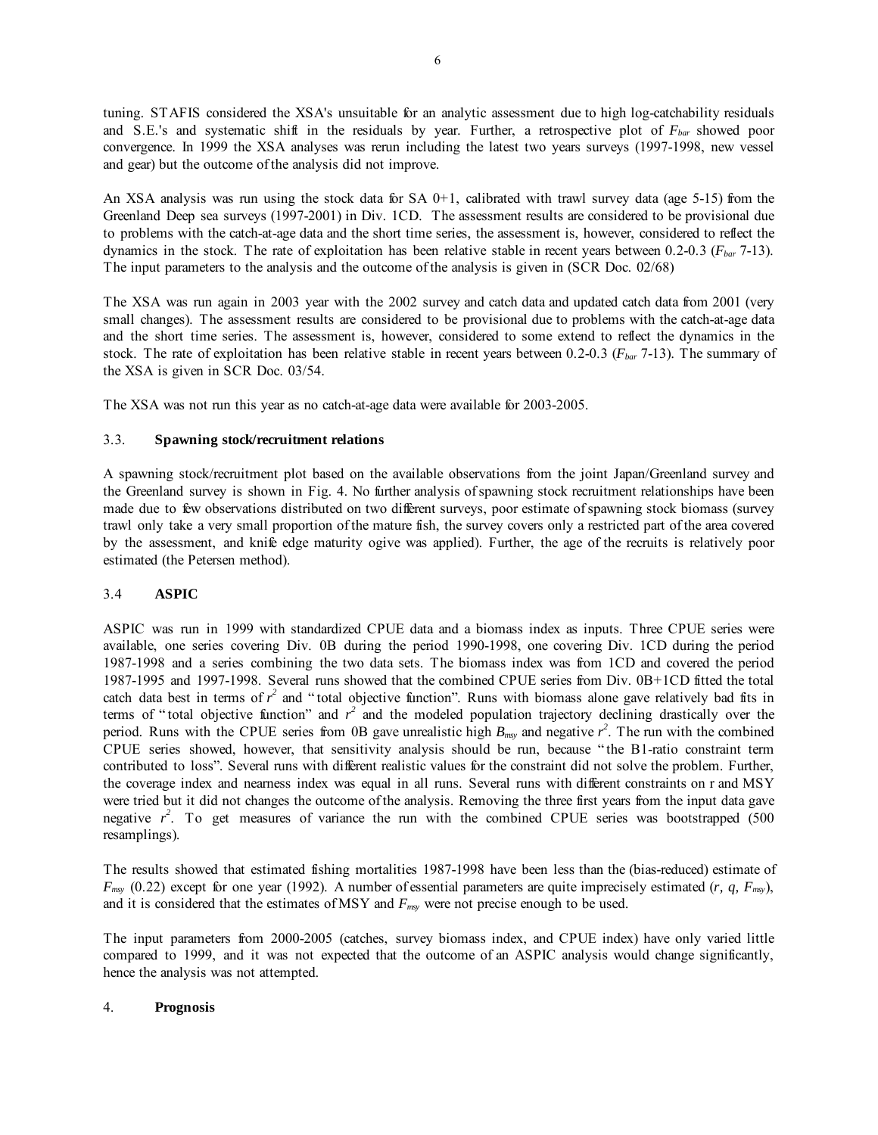tuning. STAFIS considered the XSA's unsuitable for an analytic assessment due to high log-catchability residuals and S.E.'s and systematic shift in the residuals by year. Further, a retrospective plot of *Fbar* showed poor convergence. In 1999 the XSA analyses was rerun including the latest two years surveys (1997-1998, new vessel and gear) but the outcome of the analysis did not improve.

An XSA analysis was run using the stock data for SA  $0+1$ , calibrated with trawl survey data (age 5-15) from the Greenland Deep sea surveys (1997-2001) in Div. 1CD. The assessment results are considered to be provisional due to problems with the catch-at-age data and the short time series, the assessment is, however, considered to reflect the dynamics in the stock. The rate of exploitation has been relative stable in recent years between 0.2-0.3 (*Fbar* 7-13). The input parameters to the analysis and the outcome of the analysis is given in (SCR Doc. 02/68)

The XSA was run again in 2003 year with the 2002 survey and catch data and updated catch data from 2001 (very small changes). The assessment results are considered to be provisional due to problems with the catch-at-age data and the short time series. The assessment is, however, considered to some extend to reflect the dynamics in the stock. The rate of exploitation has been relative stable in recent years between 0.2-0.3 (*Fbar* 7-13). The summary of the XSA is given in SCR Doc. 03/54.

The XSA was not run this year as no catch-at-age data were available for 2003-2005.

#### 3.3. **Spawning stock/recruitment relations**

A spawning stock/recruitment plot based on the available observations from the joint Japan/Greenland survey and the Greenland survey is shown in Fig. 4. No further analysis of spawning stock recruitment relationships have been made due to few observations distributed on two different surveys, poor estimate of spawning stock biomass (survey trawl only take a very small proportion of the mature fish, the survey covers only a restricted part of the area covered by the assessment, and knife edge maturity ogive was applied). Further, the age of the recruits is relatively poor estimated (the Petersen method).

# 3.4 **ASPIC**

ASPIC was run in 1999 with standardized CPUE data and a biomass index as inputs. Three CPUE series were available, one series covering Div. 0B during the period 1990-1998, one covering Div. 1CD during the period 1987-1998 and a series combining the two data sets. The biomass index was from 1CD and covered the period 1987-1995 and 1997-1998. Several runs showed that the combined CPUE series from Div. 0B+1CD fitted the total catch data best in terms of  $r^2$  and "total objective function". Runs with biomass alone gave relatively bad fits in terms of "total objective function" and  $r^2$  and the modeled population trajectory declining drastically over the period. Runs with the CPUE series from 0B gave unrealistic high  $B_{\text{rms}}$  and negative  $r^2$ . The run with the combined CPUE series showed, however, that sensitivity analysis should be run, because " the B1-ratio constraint term contributed to loss". Several runs with different realistic values for the constraint did not solve the problem. Further, the coverage index and nearness index was equal in all runs. Several runs with different constraints on r and MSY were tried but it did not changes the outcome of the analysis. Removing the three first years from the input data gave negative  $r^2$ . To get measures of variance the run with the combined CPUE series was bootstrapped (500) resamplings).

The results showed that estimated fishing mortalities 1987-1998 have been less than the (bias-reduced) estimate of *Fmsy* (0.22) except for one year (1992). A number of essential parameters are quite imprecisely estimated (*r, q, Fmsy*), and it is considered that the estimates of MSY and  $F_{\text{msy}}$  were not precise enough to be used.

The input parameters from 2000-2005 (catches, survey biomass index, and CPUE index) have only varied little compared to 1999, and it was not expected that the outcome of an ASPIC analysis would change significantly, hence the analysis was not attempted.

#### 4. **Prognosis**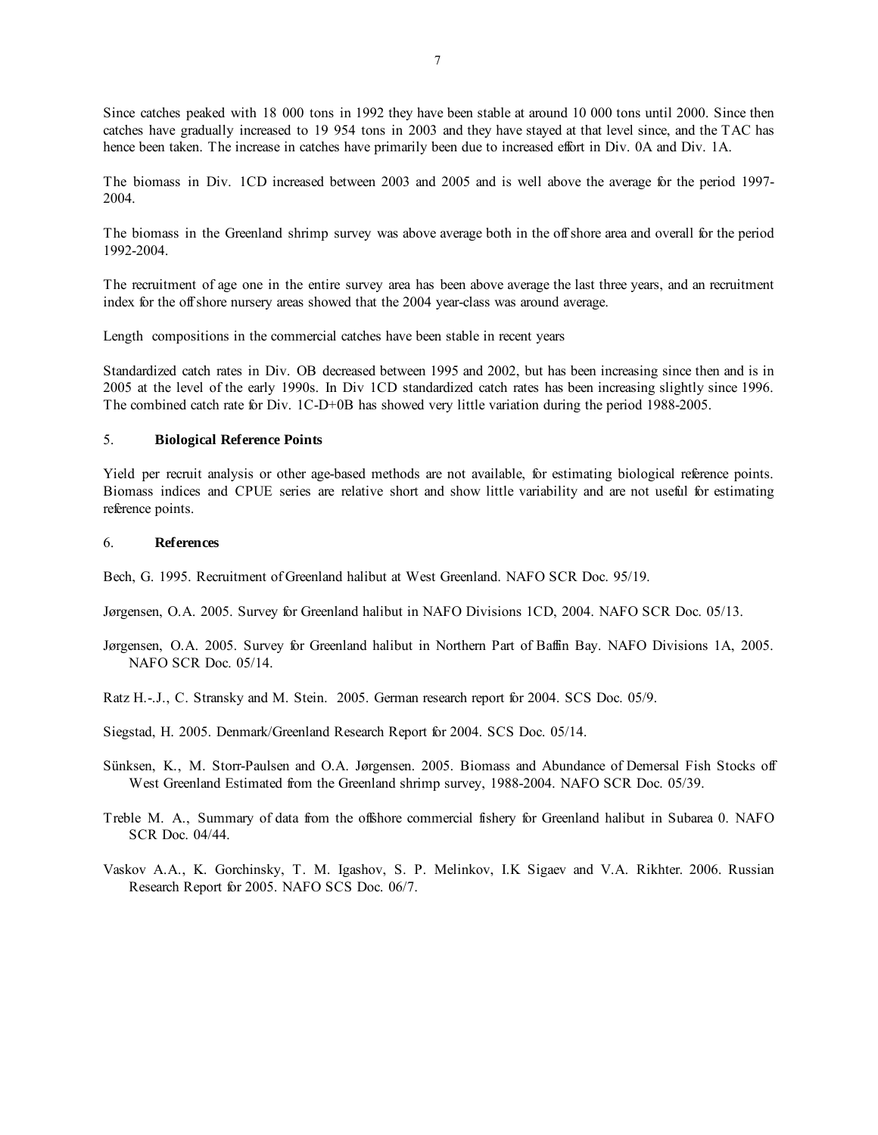Since catches peaked with 18 000 tons in 1992 they have been stable at around 10 000 tons until 2000. Since then catches have gradually increased to 19 954 tons in 2003 and they have stayed at that level since, and the TAC has hence been taken. The increase in catches have primarily been due to increased effort in Div. 0A and Div. 1A.

The biomass in Div. 1CD increased between 2003 and 2005 and is well above the average for the period 1997- 2004.

The biomass in the Greenland shrimp survey was above average both in the off shore area and overall for the period 1992-2004.

The recruitment of age one in the entire survey area has been above average the last three years, and an recruitment index for the off shore nursery areas showed that the 2004 year-class was around average.

Length compositions in the commercial catches have been stable in recent years

Standardized catch rates in Div. OB decreased between 1995 and 2002, but has been increasing since then and is in 2005 at the level of the early 1990s. In Div 1CD standardized catch rates has been increasing slightly since 1996. The combined catch rate for Div. 1C-D+0B has showed very little variation during the period 1988-2005.

#### 5. **Biological Reference Points**

Yield per recruit analysis or other age-based methods are not available, for estimating biological reference points. Biomass indices and CPUE series are relative short and show little variability and are not useful for estimating reference points.

#### 6. **References**

Bech, G. 1995. Recruitment of Greenland halibut at West Greenland. NAFO SCR Doc. 95/19.

Jørgensen, O.A. 2005. Survey for Greenland halibut in NAFO Divisions 1CD, 2004. NAFO SCR Doc. 05/13.

- Jørgensen, O.A. 2005. Survey for Greenland halibut in Northern Part of Baffin Bay. NAFO Divisions 1A, 2005. NAFO SCR Doc. 05/14.
- Ratz H.-.J., C. Stransky and M. Stein. 2005. German research report for 2004. SCS Doc. 05/9.
- Siegstad, H. 2005. Denmark/Greenland Research Report for 2004. SCS Doc. 05/14.
- Sünksen, K., M. Storr-Paulsen and O.A. Jørgensen. 2005. Biomass and Abundance of Demersal Fish Stocks off West Greenland Estimated from the Greenland shrimp survey, 1988-2004. NAFO SCR Doc. 05/39.
- Treble M. A., Summary of data from the offshore commercial fishery for Greenland halibut in Subarea 0. NAFO SCR Doc. 04/44.
- Vaskov A.A., K. Gorchinsky, T. M. Igashov, S. P. Melinkov, I.K Sigaev and V.A. Rikhter. 2006. Russian Research Report for 2005. NAFO SCS Doc. 06/7.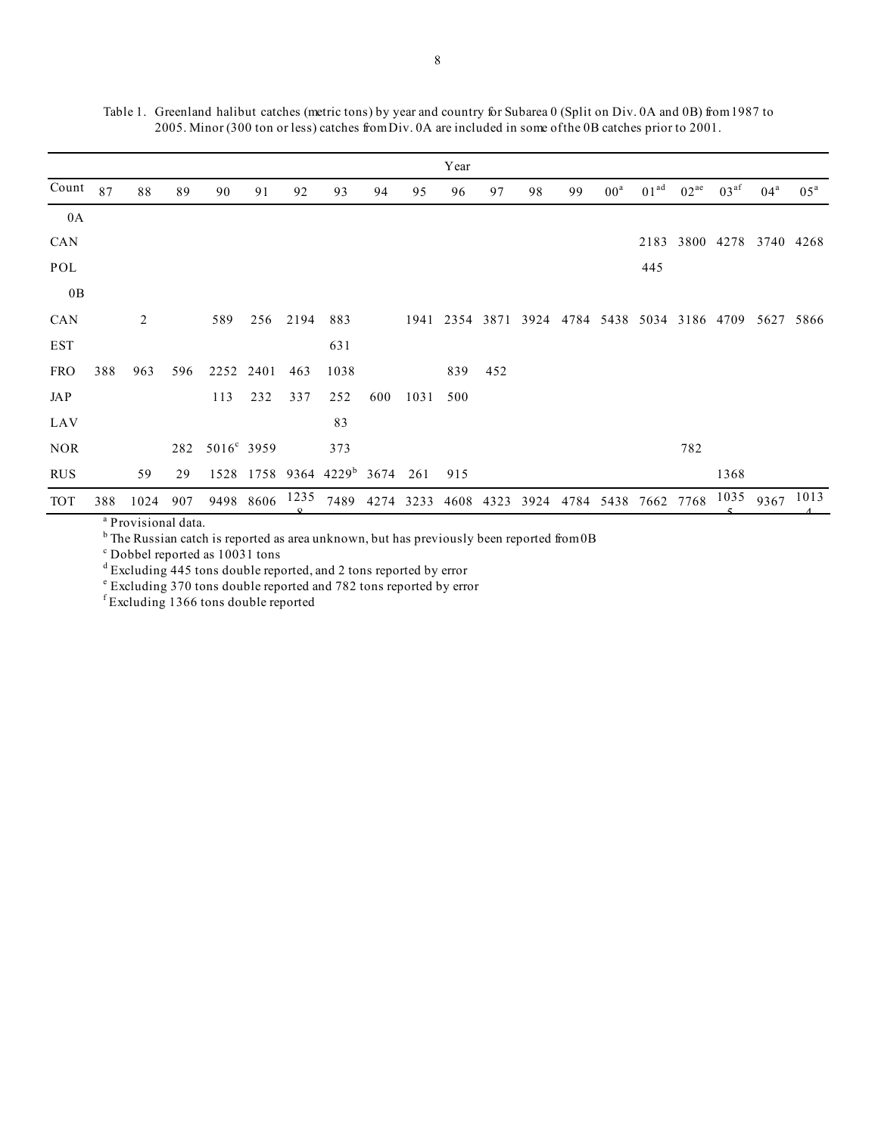|            |     |                |     |            |           |              |                                             |     |      | Year |           |      |    |                     |                  |           |                  |                                                        |                 |
|------------|-----|----------------|-----|------------|-----------|--------------|---------------------------------------------|-----|------|------|-----------|------|----|---------------------|------------------|-----------|------------------|--------------------------------------------------------|-----------------|
| Count $87$ |     | 88             | 89  | 90         | 91        | 92           | 93                                          | 94  | 95   | 96   | 97        | 98   | 99 | $00^{\rm a}$        | 01 <sup>ad</sup> | $02^{ae}$ | 03 <sup>af</sup> | $04^{\rm a}$                                           | 05 <sup>a</sup> |
| 0A         |     |                |     |            |           |              |                                             |     |      |      |           |      |    |                     |                  |           |                  |                                                        |                 |
| CAN        |     |                |     |            |           |              |                                             |     |      |      |           |      |    |                     |                  |           |                  | 2183 3800 4278 3740 4268                               |                 |
| POL        |     |                |     |            |           |              |                                             |     |      |      |           |      |    |                     | 445              |           |                  |                                                        |                 |
| 0B         |     |                |     |            |           |              |                                             |     |      |      |           |      |    |                     |                  |           |                  |                                                        |                 |
| <b>CAN</b> |     | $\overline{2}$ |     | 589        |           | 256 2194 883 |                                             |     |      |      |           |      |    |                     |                  |           |                  | 1941 2354 3871 3924 4784 5438 5034 3186 4709 5627 5866 |                 |
| EST        |     |                |     |            |           |              | 631                                         |     |      |      |           |      |    |                     |                  |           |                  |                                                        |                 |
| <b>FRO</b> | 388 | 963            | 596 | 2252 2401  |           | 463          | 1038                                        |     |      | 839  | 452       |      |    |                     |                  |           |                  |                                                        |                 |
| JAP        |     |                |     | 113        | 232       | 337          | 252                                         | 600 | 1031 | 500  |           |      |    |                     |                  |           |                  |                                                        |                 |
| LAV        |     |                |     |            |           |              | 83                                          |     |      |      |           |      |    |                     |                  |           |                  |                                                        |                 |
| <b>NOR</b> |     |                | 282 | 5016° 3959 |           |              | 373                                         |     |      |      |           |      |    |                     |                  | 782       |                  |                                                        |                 |
| <b>RUS</b> |     | 59             | 29  |            |           |              | $1528$ 1758 9364 4229 <sup>b</sup> 3674 261 |     |      | 915  |           |      |    |                     |                  |           | 1368             |                                                        |                 |
| <b>TOT</b> | 388 | 1024           | 907 |            | 9498 8606 |              | 1235 7489 4274 3233                         |     |      |      | 4608 4323 | 3924 |    | 4784 5438 7662 7768 |                  |           |                  | $1035$ 9367 1013                                       |                 |

Table 1. Greenland halibut catches (metric tons) by year and country for Subarea 0 (Split on Div. 0A and 0B) from 1987 to 2005. Minor (300 ton or less) catches from Div. 0A are included in some of the 0B catches prior to 2001.

<sup>a</sup> Provisional data.

<sup>b</sup> The Russian catch is reported as area unknown, but has previously been reported from  $0B$ 

c Dobbel reported as 10031 tons

<sup>d</sup> Excluding 445 tons double reported, and 2 tons reported by error

e Excluding 370 tons double reported and 782 tons reported by error

f Excluding 1366 tons double reported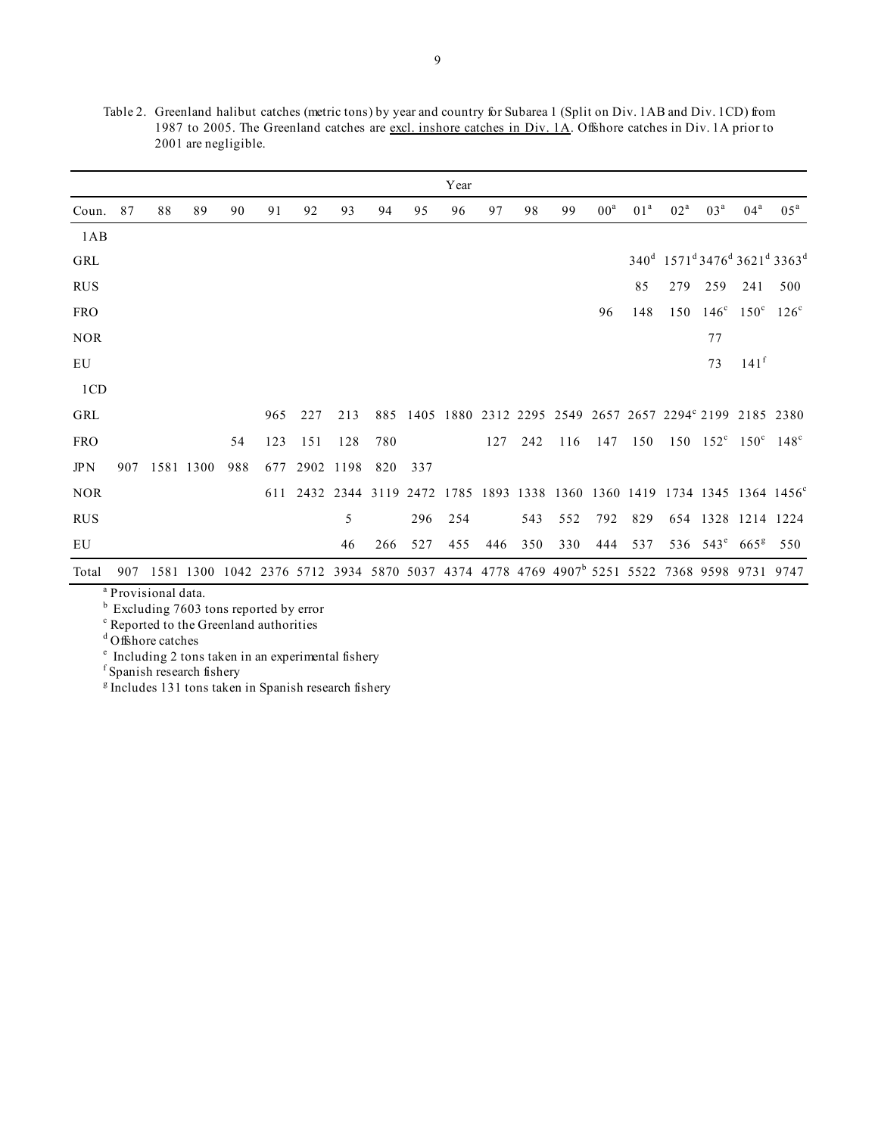|            |     |    |           |     |     |     |           |     |     | Year |     |     |                                                                                                        |                 |                 |        |                 |                                                             |                                                                                          |
|------------|-----|----|-----------|-----|-----|-----|-----------|-----|-----|------|-----|-----|--------------------------------------------------------------------------------------------------------|-----------------|-----------------|--------|-----------------|-------------------------------------------------------------|------------------------------------------------------------------------------------------|
| Coun.      | 87  | 88 | 89        | 90  | 91  | 92  | 93        | 94  | 95  | 96   | 97  | 98  | 99                                                                                                     | 00 <sup>a</sup> | 01 <sup>a</sup> | $02^a$ | 03 <sup>a</sup> | 04 <sup>a</sup>                                             | $0.5^{\mathrm{a}}$                                                                       |
| 1AB        |     |    |           |     |     |     |           |     |     |      |     |     |                                                                                                        |                 |                 |        |                 |                                                             |                                                                                          |
| GRL        |     |    |           |     |     |     |           |     |     |      |     |     |                                                                                                        |                 |                 |        |                 |                                                             | 340 <sup>d</sup> 1571 <sup>d</sup> 3476 <sup>d</sup> 3621 <sup>d</sup> 3363 <sup>d</sup> |
| <b>RUS</b> |     |    |           |     |     |     |           |     |     |      |     |     |                                                                                                        |                 | 85              | 279    | 259             | 241                                                         | 500                                                                                      |
| <b>FRO</b> |     |    |           |     |     |     |           |     |     |      |     |     |                                                                                                        | 96              | 148             | 150    | $146^\circ$     | $150^{\circ}$ $126^{\circ}$                                 |                                                                                          |
| <b>NOR</b> |     |    |           |     |     |     |           |     |     |      |     |     |                                                                                                        |                 |                 |        | 77              |                                                             |                                                                                          |
| EU         |     |    |           |     |     |     |           |     |     |      |     |     |                                                                                                        |                 |                 |        | 73              | 141 <sup>f</sup>                                            |                                                                                          |
| 1CD        |     |    |           |     |     |     |           |     |     |      |     |     |                                                                                                        |                 |                 |        |                 |                                                             |                                                                                          |
| GRL        |     |    |           |     | 965 | 227 | 213       | 885 |     |      |     |     | 1405 1880 2312 2295 2549 2657 2657 2294° 2199 2185 2380                                                |                 |                 |        |                 |                                                             |                                                                                          |
| <b>FRO</b> |     |    |           | 54  | 123 | 151 | 128       | 780 |     |      | 127 | 242 | 116                                                                                                    | 147             | 150             |        |                 | $150 \quad 152^{\circ} \quad 150^{\circ} \quad 148^{\circ}$ |                                                                                          |
| JPN        | 907 |    | 1581 1300 | 988 | 677 |     | 2902 1198 | 820 | 337 |      |     |     |                                                                                                        |                 |                 |        |                 |                                                             |                                                                                          |
| <b>NOR</b> |     |    |           |     |     |     |           |     |     |      |     |     |                                                                                                        |                 |                 |        |                 |                                                             | 611 2432 2344 3119 2472 1785 1893 1338 1360 1360 1419 1734 1345 1364 1456°               |
| <b>RUS</b> |     |    |           |     |     |     | 5         |     | 296 | 254  |     | 543 | 552                                                                                                    | 792             | 829             |        |                 | 654 1328 1214 1224                                          |                                                                                          |
| EU         |     |    |           |     |     |     | 46        | 266 | 527 | 455  | 446 | 350 | 330                                                                                                    | 444             | 537             |        |                 | 536 543 <sup>e</sup> 665 <sup>g</sup>                       | 550                                                                                      |
| Total      | 907 |    |           |     |     |     |           |     |     |      |     |     | 1581 1300 1042 2376 5712 3934 5870 5037 4374 4778 4769 4907 <sup>b</sup> 5251 5522 7368 9598 9731 9747 |                 |                 |        |                 |                                                             |                                                                                          |

Table 2. Greenland halibut catches (metric tons) by year and country for Subarea 1 (Split on Div. 1AB and Div. 1CD) from 1987 to 2005. The Greenland catches are excl. inshore catches in Div. 1A. Offshore catches in Div. 1A prior to 2001 are negligible.

a Provisional data.

<sup>b</sup> Excluding 7603 tons reported by error

<sup>c</sup> Reported to the Greenland authorities

d Offshore catches

e Including 2 tons taken in an experimental fishery f Spanish research fishery

<sup>g</sup> Includes 131 tons taken in Spanish research fishery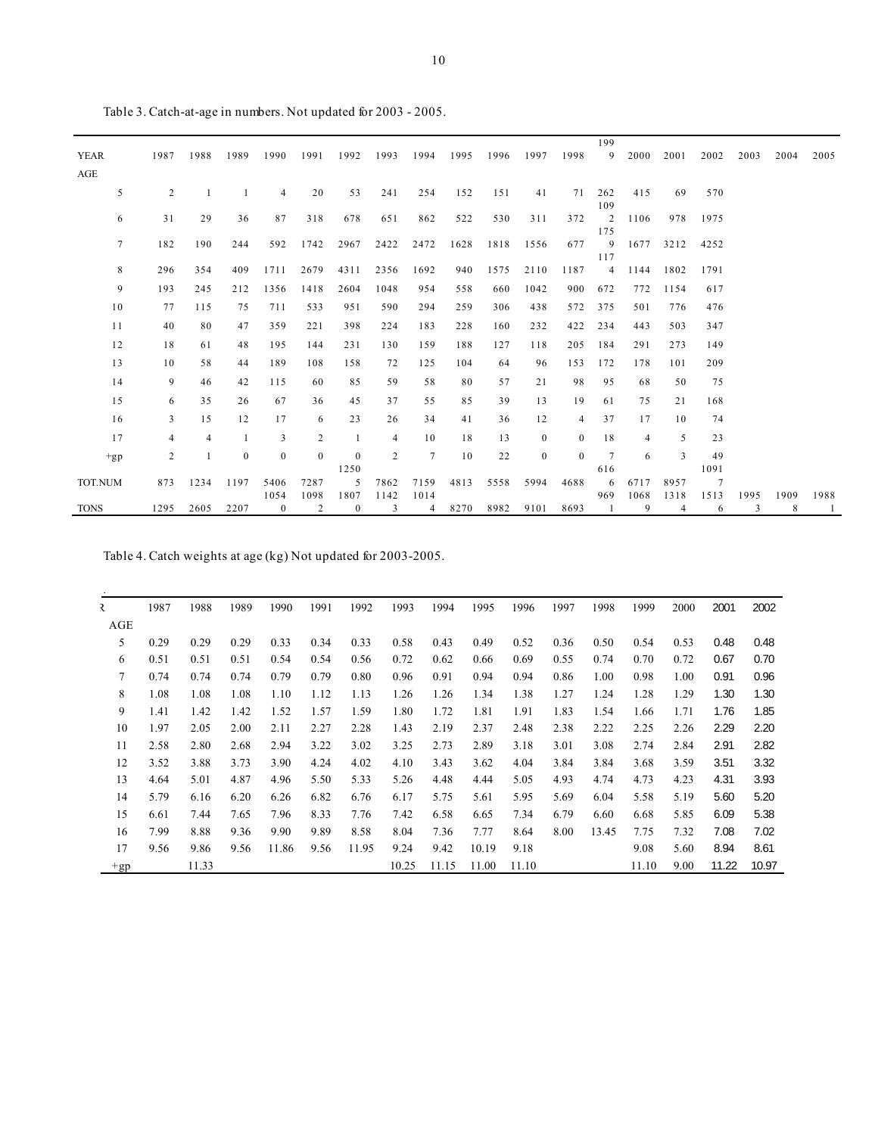| <b>YEAR</b><br>AGE | 1987           | 1988           | 1989         | 1990                   | 1991           | 1992                 | 1993           | 1994      | 1995 | 1996 | 1997         | 1998         | 199<br>9               | 2000      | 2001      | 2002           | 2003      | 2004      | 2005                   |
|--------------------|----------------|----------------|--------------|------------------------|----------------|----------------------|----------------|-----------|------|------|--------------|--------------|------------------------|-----------|-----------|----------------|-----------|-----------|------------------------|
| 5                  | 2              | $\overline{1}$ | -1           | $\overline{4}$         | 20             | 53                   | 241            | 254       | 152  | 151  | 41           | 71           | 262<br>109             | 415       | 69        | 570            |           |           |                        |
| 6                  | 31             | 29             | 36           | 87                     | 318            | 678                  | 651            | 862       | 522  | 530  | 311          | 372          | 2<br>175               | 1106      | 978       | 1975           |           |           |                        |
| $\overline{7}$     | 182            | 190            | 244          | 592                    | 1742           | 2967                 | 2422           | 2472      | 1628 | 1818 | 1556         | 677          | 9<br>117               | 1677      | 3212      | 4252           |           |           |                        |
| 8                  | 296            | 354            | 409          | 1711                   | 2679           | 4311                 | 2356           | 1692      | 940  | 1575 | 2110         | 1187         | $\overline{4}$         | 1144      | 1802      | 1791           |           |           |                        |
| 9                  | 193            | 245            | 212          | 1356                   | 1418           | 2604                 | 1048           | 954       | 558  | 660  | 1042         | 900          | 672                    | 772       | 1154      | 617            |           |           |                        |
| 10                 | 77             | 115            | 75           | 711                    | 533            | 951                  | 590            | 294       | 259  | 306  | 438          | 572          | 375                    | 501       | 776       | 476            |           |           |                        |
| 11                 | 40             | 80             | 47           | 359                    | 221            | 398                  | 224            | 183       | 228  | 160  | 232          | 422          | 234                    | 443       | 503       | 347            |           |           |                        |
| 12                 | 18             | 61             | 48           | 195                    | 144            | 231                  | 130            | 159       | 188  | 127  | 118          | 205          | 184                    | 291       | 273       | 149            |           |           |                        |
| 13                 | 10             | 58             | 44           | 189                    | 108            | 158                  | 72             | 125       | 104  | 64   | 96           | 153          | 172                    | 178       | 101       | 209            |           |           |                        |
| 14                 | 9              | 46             | 42           | 115                    | 60             | 85                   | 59             | 58        | 80   | 57   | 21           | 98           | 95                     | 68        | 50        | 75             |           |           |                        |
| 15                 | 6              | 35             | 26           | 67                     | 36             | 45                   | 37             | 55        | 85   | 39   | 13           | 19           | 61                     | 75        | 21        | 168            |           |           |                        |
| 16                 | 3              | 15             | 12           | 17                     | 6              | 23                   | 26             | 34        | 41   | 36   | 12           | 4            | 37                     | 17        | 10        | 74             |           |           |                        |
| 17                 | $\overline{4}$ | $\overline{4}$ |              | $\overline{3}$         | $\overline{c}$ | -1                   | $\overline{4}$ | 10        | 18   | 13   | $\mathbf{0}$ | $\mathbf{0}$ | 18                     | 4         | 5         | 23             |           |           |                        |
| $+gp$              | $\overline{2}$ |                | $\mathbf{0}$ | $\mathbf{0}$           | $\mathbf{0}$   | $\mathbf{0}$<br>1250 | 2              | 7         | 10   | 22   | $\mathbf{0}$ | $\Omega$     | $7\phantom{.0}$<br>616 | 6         | 3         | 49<br>1091     |           |           |                        |
| TOT.NUM            | 873            | 1234           | 1197         | 5406                   | 7287           | 5                    | 7862           | 7159      | 4813 | 5558 | 5994         | 4688         | -6                     | 6717      | 8957      | $\overline{7}$ |           |           |                        |
| <b>TONS</b>        | 1295           | 2605           | 2207         | 1054<br>$\overline{0}$ | 1098<br>2      | 1807<br>$\mathbf{0}$ | 1142<br>3      | 1014<br>4 | 8270 | 8982 | 9101         | 8693         | 969<br>-1              | 1068<br>9 | 1318<br>4 | 1513<br>6      | 1995<br>3 | 1909<br>8 | 1988<br>$\overline{1}$ |

Table 3. Catch-at-age in numbers. Not updated for 2003 - 2005.

Table 4. Catch weights at age (kg) Not updated for 2003-2005.

| $\mathcal{R}$ | 1987 | 1988  | 1989 | 1990  | 1991 | 1992  | 1993  | 1994  | 1995  | 1996  | 1997 | 1998  | 1999  | 2000 | 2001  | 2002  |
|---------------|------|-------|------|-------|------|-------|-------|-------|-------|-------|------|-------|-------|------|-------|-------|
| AGE           |      |       |      |       |      |       |       |       |       |       |      |       |       |      |       |       |
| 5             | 0.29 | 0.29  | 0.29 | 0.33  | 0.34 | 0.33  | 0.58  | 0.43  | 0.49  | 0.52  | 0.36 | 0.50  | 0.54  | 0.53 | 0.48  | 0.48  |
| 6             | 0.51 | 0.51  | 0.51 | 0.54  | 0.54 | 0.56  | 0.72  | 0.62  | 0.66  | 0.69  | 0.55 | 0.74  | 0.70  | 0.72 | 0.67  | 0.70  |
| 7             | 0.74 | 0.74  | 0.74 | 0.79  | 0.79 | 0.80  | 0.96  | 0.91  | 0.94  | 0.94  | 0.86 | 1.00  | 0.98  | 1.00 | 0.91  | 0.96  |
| 8             | 1.08 | 1.08  | 1.08 | 1.10  | 1.12 | 1.13  | 1.26  | 1.26  | 1.34  | 1.38  | 1.27 | 1.24  | 1.28  | 1.29 | 1.30  | 1.30  |
| 9             | 1.41 | 1.42  | 1.42 | 1.52  | 1.57 | 1.59  | 1.80  | 1.72  | 1.81  | 1.91  | 1.83 | 1.54  | 1.66  | 1.71 | 1.76  | 1.85  |
| 10            | 1.97 | 2.05  | 2.00 | 2.11  | 2.27 | 2.28  | 1.43  | 2.19  | 2.37  | 2.48  | 2.38 | 2.22  | 2.25  | 2.26 | 2.29  | 2.20  |
| 11            | 2.58 | 2.80  | 2.68 | 2.94  | 3.22 | 3.02  | 3.25  | 2.73  | 2.89  | 3.18  | 3.01 | 3.08  | 2.74  | 2.84 | 2.91  | 2.82  |
| 12            | 3.52 | 3.88  | 3.73 | 3.90  | 4.24 | 4.02  | 4.10  | 3.43  | 3.62  | 4.04  | 3.84 | 3.84  | 3.68  | 3.59 | 3.51  | 3.32  |
| 13            | 4.64 | 5.01  | 4.87 | 4.96  | 5.50 | 5.33  | 5.26  | 4.48  | 4.44  | 5.05  | 4.93 | 4.74  | 4.73  | 4.23 | 4.31  | 3.93  |
| 14            | 5.79 | 6.16  | 6.20 | 6.26  | 6.82 | 6.76  | 6.17  | 5.75  | 5.61  | 5.95  | 5.69 | 6.04  | 5.58  | 5.19 | 5.60  | 5.20  |
| 15            | 6.61 | 7.44  | 7.65 | 7.96  | 8.33 | 7.76  | 7.42  | 6.58  | 6.65  | 7.34  | 6.79 | 6.60  | 6.68  | 5.85 | 6.09  | 5.38  |
| 16            | 7.99 | 8.88  | 9.36 | 9.90  | 9.89 | 8.58  | 8.04  | 7.36  | 7.77  | 8.64  | 8.00 | 13.45 | 7.75  | 7.32 | 7.08  | 7.02  |
| 17            | 9.56 | 9.86  | 9.56 | 11.86 | 9.56 | 11.95 | 9.24  | 9.42  | 10.19 | 9.18  |      |       | 9.08  | 5.60 | 8.94  | 8.61  |
| $+gp$         |      | 11.33 |      |       |      |       | 10.25 | 11.15 | 11.00 | 11.10 |      |       | 11.10 | 9.00 | 11.22 | 10.97 |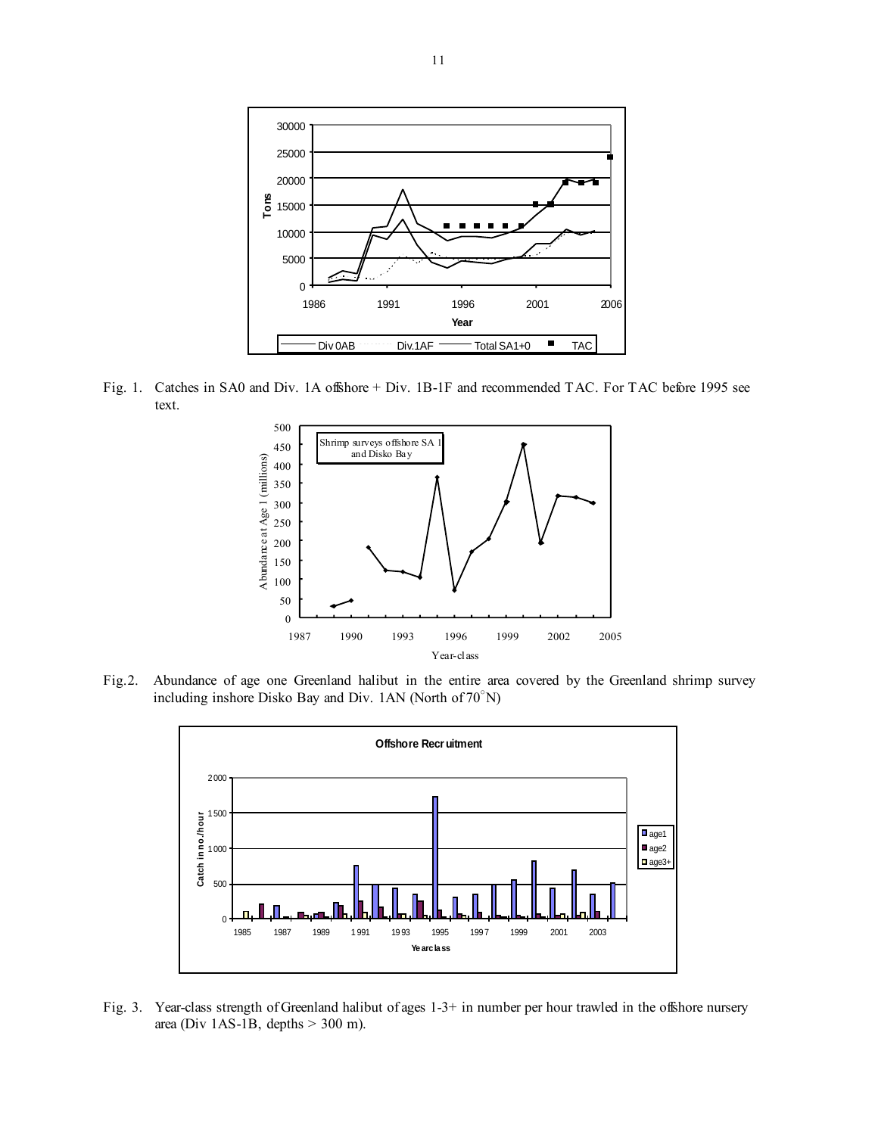

Fig. 1. Catches in SA0 and Div. 1A offshore + Div. 1B-1F and recommended TAC. For TAC before 1995 see text.



Fig.2. Abundance of age one Greenland halibut in the entire area covered by the Greenland shrimp survey including inshore Disko Bay and Div. 1AN (North of 70○ N)



Fig. 3. Year-class strength of Greenland halibut of ages 1-3+ in number per hour trawled in the offshore nursery area (Div 1AS-1B, depths > 300 m).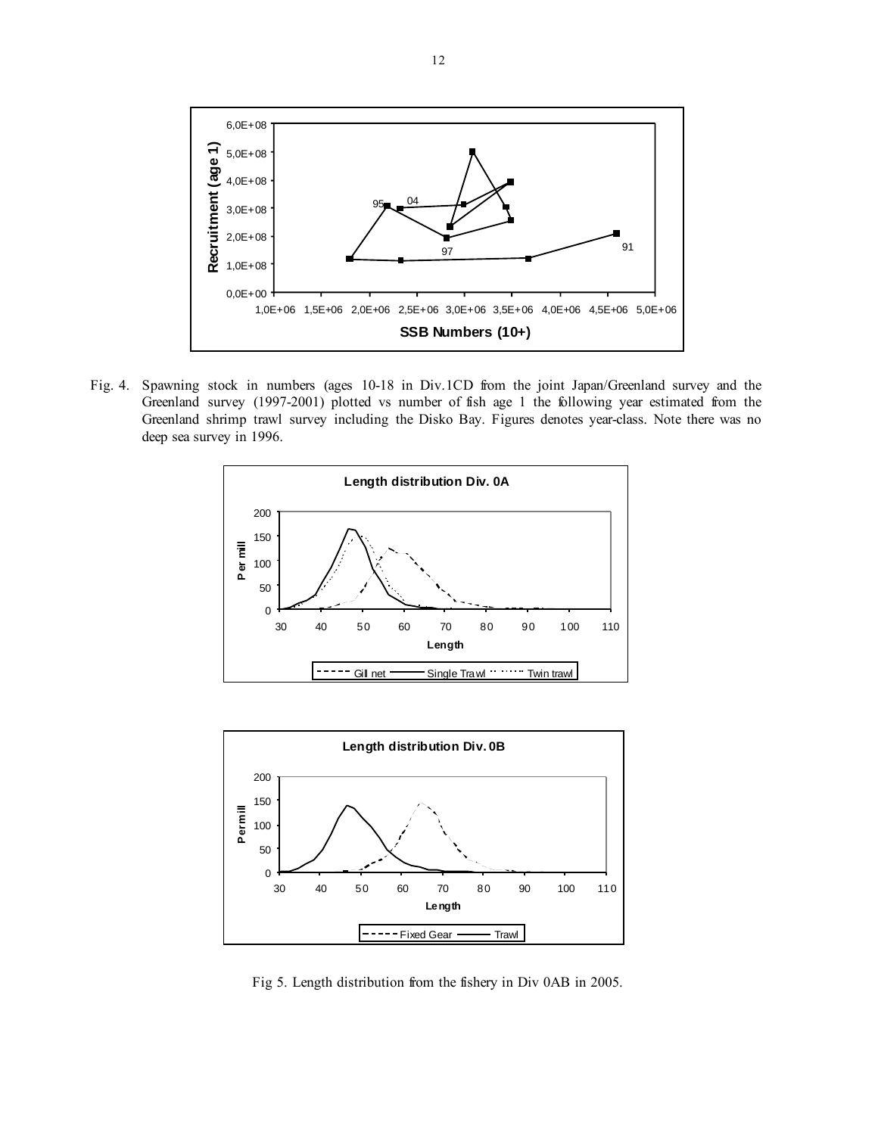

Fig. 4. Spawning stock in numbers (ages 10-18 in Div.1CD from the joint Japan/Greenland survey and the Greenland survey (1997-2001) plotted vs number of fish age 1 the following year estimated from the Greenland shrimp trawl survey including the Disko Bay. Figures denotes year-class. Note there was no deep sea survey in 1996.





Fig 5. Length distribution from the fishery in Div 0AB in 2005.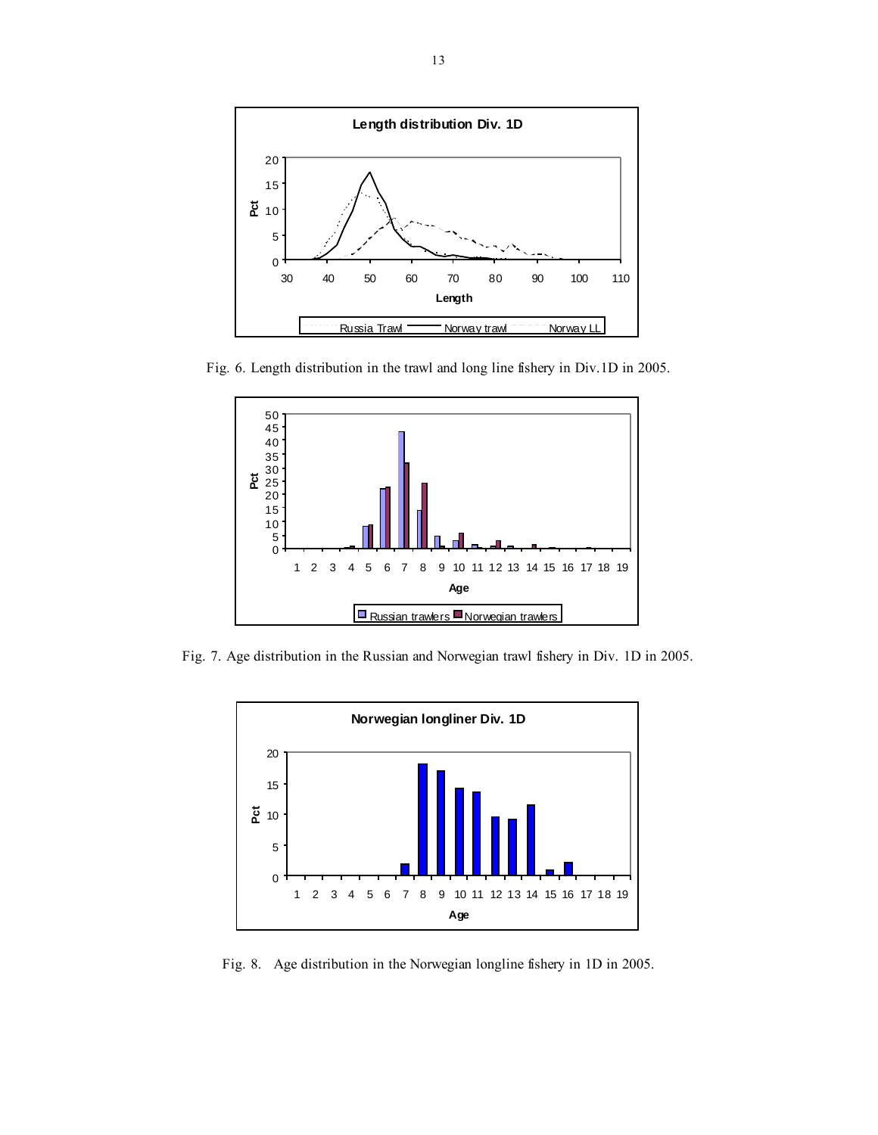

Fig. 6. Length distribution in the trawl and long line fishery in Div.1D in 2005.



Fig. 7. Age distribution in the Russian and Norwegian trawl fishery in Div. 1D in 2005.



Fig. 8. Age distribution in the Norwegian longline fishery in 1D in 2005.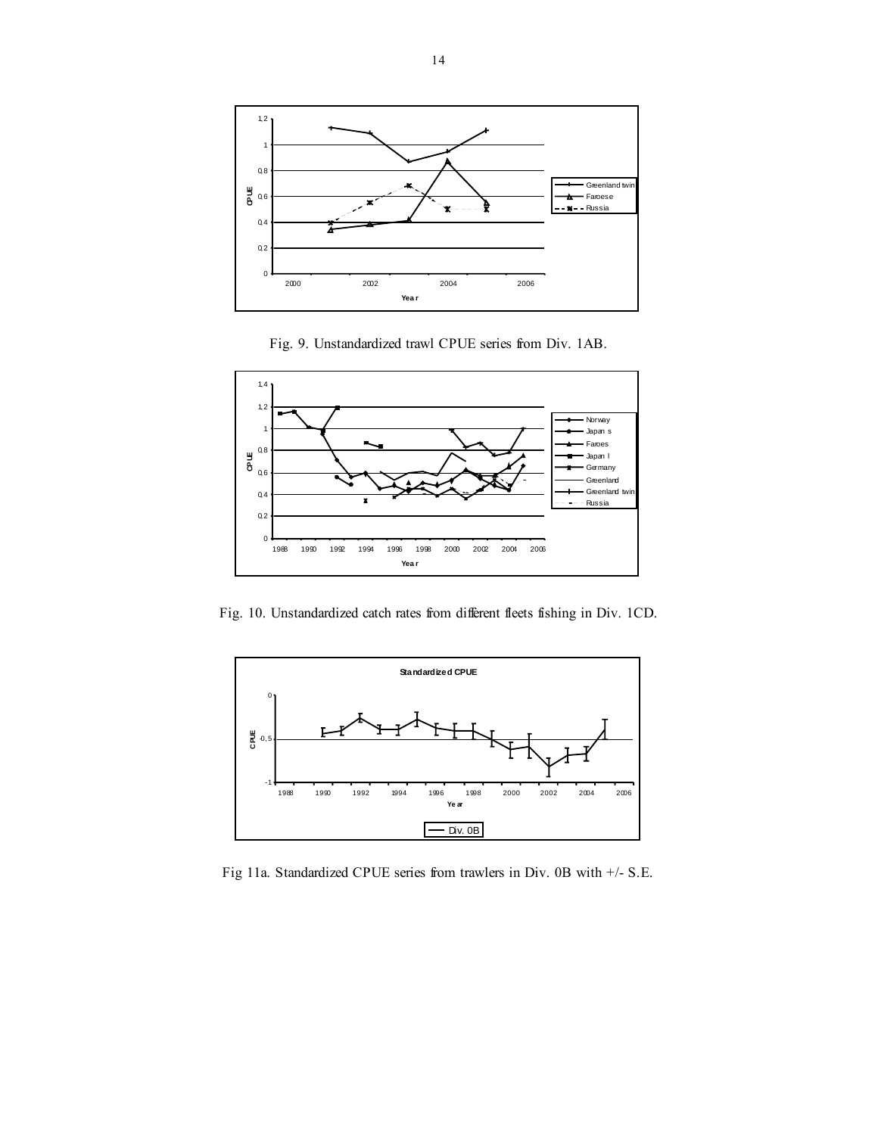





Fig. 10. Unstandardized catch rates from different fleets fishing in Div. 1CD.



Fig 11a. Standardized CPUE series from trawlers in Div. 0B with +/- S.E.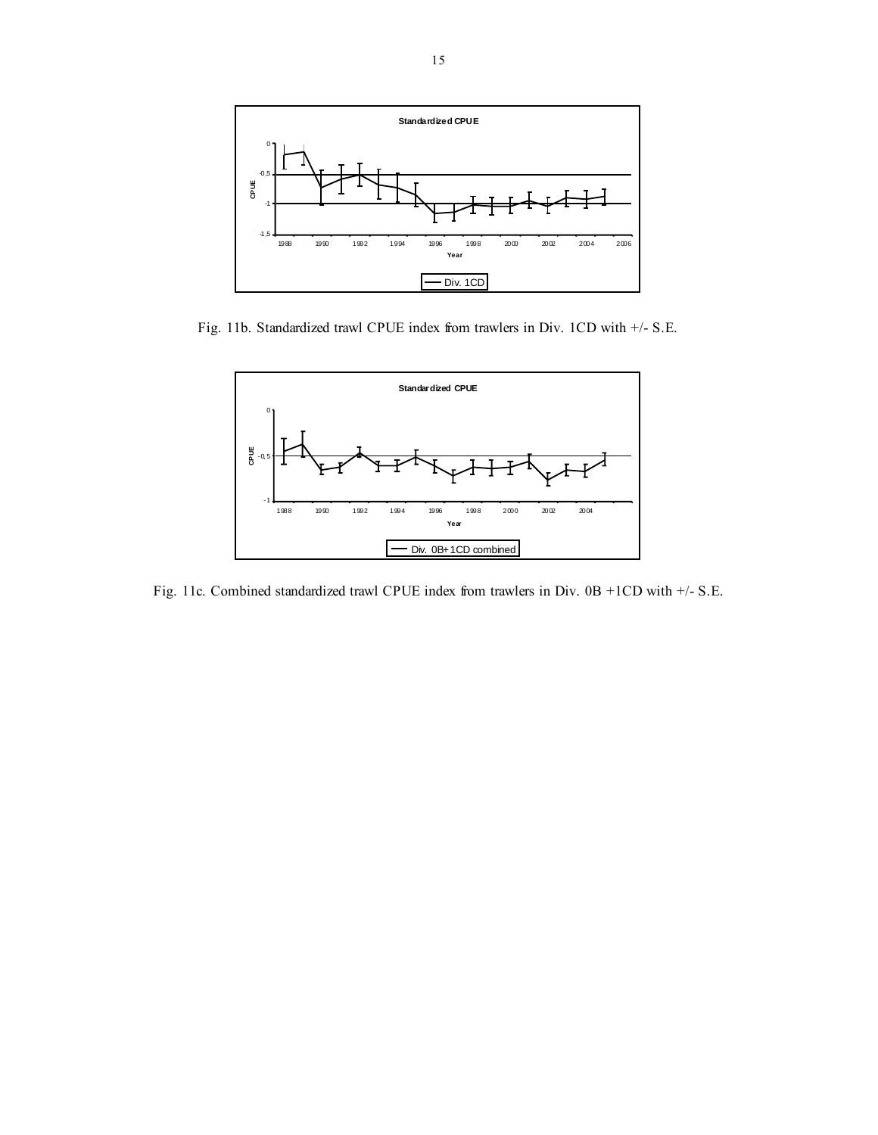

Fig. 11b. Standardized trawl CPUE index from trawlers in Div. 1CD with +/- S.E.



Fig. 11c. Combined standardized trawl CPUE index from trawlers in Div. 0B +1CD with +/- S.E.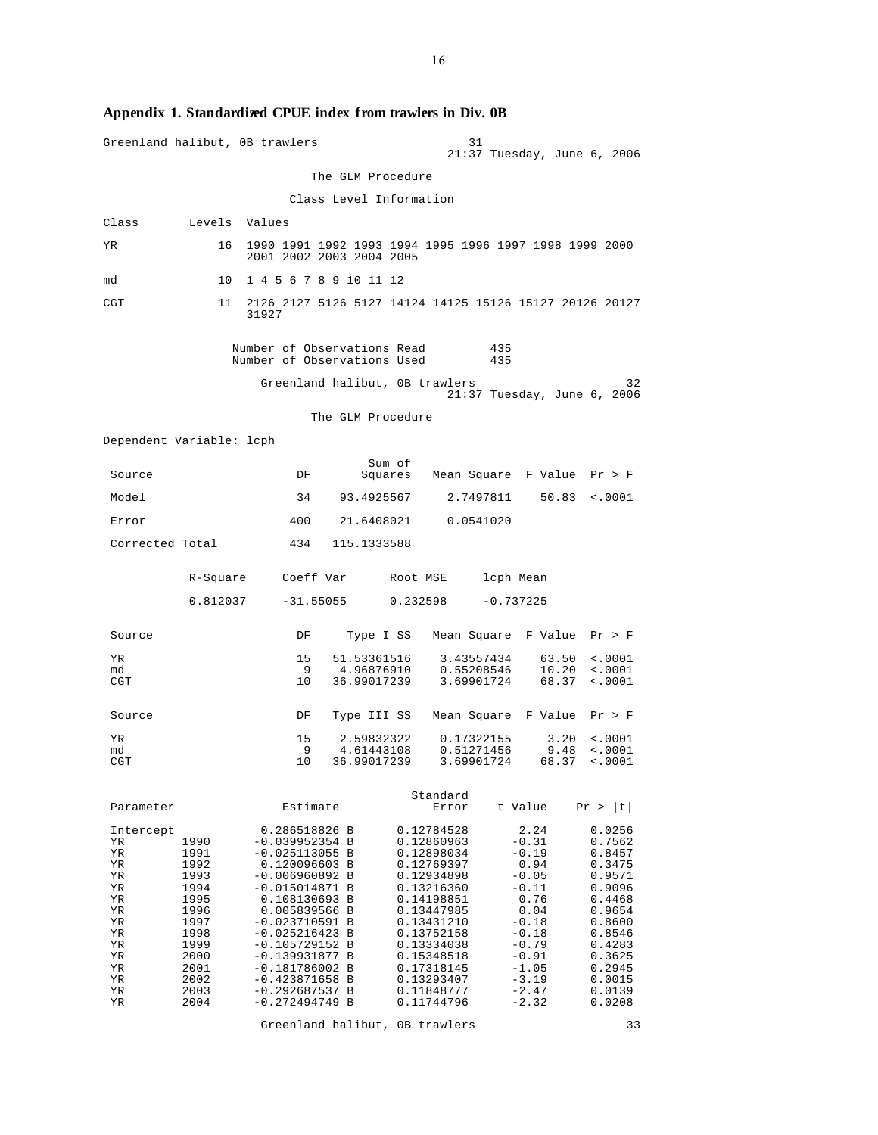| Greenland halibut, OB trawlers                                                                      |                                                                                                                      |                                                                                                                                                                                                                                                                                                              |                                          | 31                                                                                                                                                                                                                           |                                                                                                                                                                  |                                                                                                                                                              |
|-----------------------------------------------------------------------------------------------------|----------------------------------------------------------------------------------------------------------------------|--------------------------------------------------------------------------------------------------------------------------------------------------------------------------------------------------------------------------------------------------------------------------------------------------------------|------------------------------------------|------------------------------------------------------------------------------------------------------------------------------------------------------------------------------------------------------------------------------|------------------------------------------------------------------------------------------------------------------------------------------------------------------|--------------------------------------------------------------------------------------------------------------------------------------------------------------|
|                                                                                                     |                                                                                                                      |                                                                                                                                                                                                                                                                                                              |                                          |                                                                                                                                                                                                                              | $21:37$ Tuesday, June $6$ , 2006                                                                                                                                 |                                                                                                                                                              |
|                                                                                                     |                                                                                                                      |                                                                                                                                                                                                                                                                                                              | The GLM Procedure                        |                                                                                                                                                                                                                              |                                                                                                                                                                  |                                                                                                                                                              |
|                                                                                                     |                                                                                                                      |                                                                                                                                                                                                                                                                                                              | Class Level Information                  |                                                                                                                                                                                                                              |                                                                                                                                                                  |                                                                                                                                                              |
| Class                                                                                               | Levels Values                                                                                                        |                                                                                                                                                                                                                                                                                                              |                                          |                                                                                                                                                                                                                              |                                                                                                                                                                  |                                                                                                                                                              |
| ΥR                                                                                                  | 16                                                                                                                   | 2001 2002 2003 2004 2005                                                                                                                                                                                                                                                                                     |                                          | 1990 1991 1992 1993 1994 1995 1996 1997 1998 1999 2000                                                                                                                                                                       |                                                                                                                                                                  |                                                                                                                                                              |
| md                                                                                                  | 10                                                                                                                   | 1 4 5 6 7 8 9 10 11 12                                                                                                                                                                                                                                                                                       |                                          |                                                                                                                                                                                                                              |                                                                                                                                                                  |                                                                                                                                                              |
| CGT                                                                                                 | 11                                                                                                                   | 31927                                                                                                                                                                                                                                                                                                        |                                          | 2126 2127 5126 5127 14124 14125 15126 15127 20126 20127                                                                                                                                                                      |                                                                                                                                                                  |                                                                                                                                                              |
|                                                                                                     |                                                                                                                      | Number of Observations Read<br>Number of Observations Used                                                                                                                                                                                                                                                   |                                          | 435<br>435                                                                                                                                                                                                                   |                                                                                                                                                                  |                                                                                                                                                              |
|                                                                                                     |                                                                                                                      | Greenland halibut, OB trawlers                                                                                                                                                                                                                                                                               |                                          |                                                                                                                                                                                                                              | $21:37$ Tuesday, June 6, 2006                                                                                                                                    | 32                                                                                                                                                           |
|                                                                                                     |                                                                                                                      |                                                                                                                                                                                                                                                                                                              | The GLM Procedure                        |                                                                                                                                                                                                                              |                                                                                                                                                                  |                                                                                                                                                              |
| Dependent Variable: lcph                                                                            |                                                                                                                      |                                                                                                                                                                                                                                                                                                              |                                          |                                                                                                                                                                                                                              |                                                                                                                                                                  |                                                                                                                                                              |
| Source                                                                                              |                                                                                                                      | DF                                                                                                                                                                                                                                                                                                           | Sum of<br>Squares                        | Mean Square F Value Pr > F                                                                                                                                                                                                   |                                                                                                                                                                  |                                                                                                                                                              |
| Model                                                                                               |                                                                                                                      | 34                                                                                                                                                                                                                                                                                                           | 93.4925567                               | 2.7497811                                                                                                                                                                                                                    | 50.83                                                                                                                                                            | < .0001                                                                                                                                                      |
| Error                                                                                               |                                                                                                                      | 400                                                                                                                                                                                                                                                                                                          | 21.6408021                               | 0.0541020                                                                                                                                                                                                                    |                                                                                                                                                                  |                                                                                                                                                              |
| Corrected Total                                                                                     |                                                                                                                      | 434                                                                                                                                                                                                                                                                                                          | 115.1333588                              |                                                                                                                                                                                                                              |                                                                                                                                                                  |                                                                                                                                                              |
|                                                                                                     | R-Square                                                                                                             | Coeff Var                                                                                                                                                                                                                                                                                                    |                                          | Root MSE                                                                                                                                                                                                                     | lcph Mean                                                                                                                                                        |                                                                                                                                                              |
|                                                                                                     | 0.812037                                                                                                             | $-31.55055$                                                                                                                                                                                                                                                                                                  |                                          | 0.232598                                                                                                                                                                                                                     | $-0.737225$                                                                                                                                                      |                                                                                                                                                              |
| Source                                                                                              |                                                                                                                      | DF                                                                                                                                                                                                                                                                                                           | Type I SS                                | Mean Square                                                                                                                                                                                                                  | F Value                                                                                                                                                          | Pr > F                                                                                                                                                       |
| YR.<br>md<br>CGT                                                                                    |                                                                                                                      | 15<br>9<br>10                                                                                                                                                                                                                                                                                                | 51.53361516<br>4.96876910<br>36.99017239 | 3.43557434<br>0.55208546<br>3.69901724                                                                                                                                                                                       | 63.50<br>10.20<br>68.37                                                                                                                                          | < .0001<br>$\sim 0001$<br>$\sim 0001$                                                                                                                        |
| Source                                                                                              |                                                                                                                      | DF                                                                                                                                                                                                                                                                                                           | Type III SS                              | Mean Square F Value                                                                                                                                                                                                          |                                                                                                                                                                  | Pr > F                                                                                                                                                       |
| ΥR<br>md<br>CGT                                                                                     |                                                                                                                      | 15<br>9<br>10                                                                                                                                                                                                                                                                                                | 2.59832322<br>4.61443108<br>36.99017239  | 0.17322155<br>0.51271456<br>3.69901724                                                                                                                                                                                       | 3.20<br>9.48<br>68.37                                                                                                                                            | $\le 0001$<br>$\sim 0001$<br>$\sim 0001$                                                                                                                     |
| Parameter                                                                                           |                                                                                                                      | Estimate                                                                                                                                                                                                                                                                                                     |                                          | Standard<br>Error                                                                                                                                                                                                            | t Value                                                                                                                                                          | t <br>Pr >                                                                                                                                                   |
| Intercept<br>ΥR<br>ΥR<br>ΥR<br>ΥR<br>ΥR<br>ΥR<br>ΥR<br>ΥR<br>ΥR<br>ΥR<br>ΥR<br>ΥR<br>ΥR<br>ΥR<br>ΥR | 1990<br>1991<br>1992<br>1993<br>1994<br>1995<br>1996<br>1997<br>1998<br>1999<br>2000<br>2001<br>2002<br>2003<br>2004 | 0.286518826 B<br>$-0.039952354 B$<br>$-0.025113055$ B<br>0.120096603 B<br>$-0.006960892 B$<br>$-0.015014871$ B<br>0.108130693 B<br>0.005839566 B<br>$-0.023710591$ B<br>$-0.025216423 B$<br>$-0.105729152 B$<br>$-0.139931877$<br>$-0.181786002 B$<br>$-0.423871658$ B<br>$-0.292687537$<br>$-0.272494749 B$ | B<br>B                                   | 0.12784528<br>0.12860963<br>0.12898034<br>0.12769397<br>0.12934898<br>0.13216360<br>0.14198851<br>0.13447985<br>0.13431210<br>0.13752158<br>0.13334038<br>0.15348518<br>0.17318145<br>0.13293407<br>0.11848777<br>0.11744796 | 2.24<br>$-0.31$<br>$-0.19$<br>0.94<br>$-0.05$<br>$-0.11$<br>0.76<br>0.04<br>$-0.18$<br>$-0.18$<br>$-0.79$<br>$-0.91$<br>$-1.05$<br>$-3.19$<br>$-2.47$<br>$-2.32$ | 0.0256<br>0.7562<br>0.8457<br>0.3475<br>0.9571<br>0.9096<br>0.4468<br>0.9654<br>0.8600<br>0.8546<br>0.4283<br>0.3625<br>0.2945<br>0.0015<br>0.0139<br>0.0208 |

# **Appendix 1. Standardized CPUE index from trawlers in Div. 0B**

16

Greenland halibut, 0B trawlers 33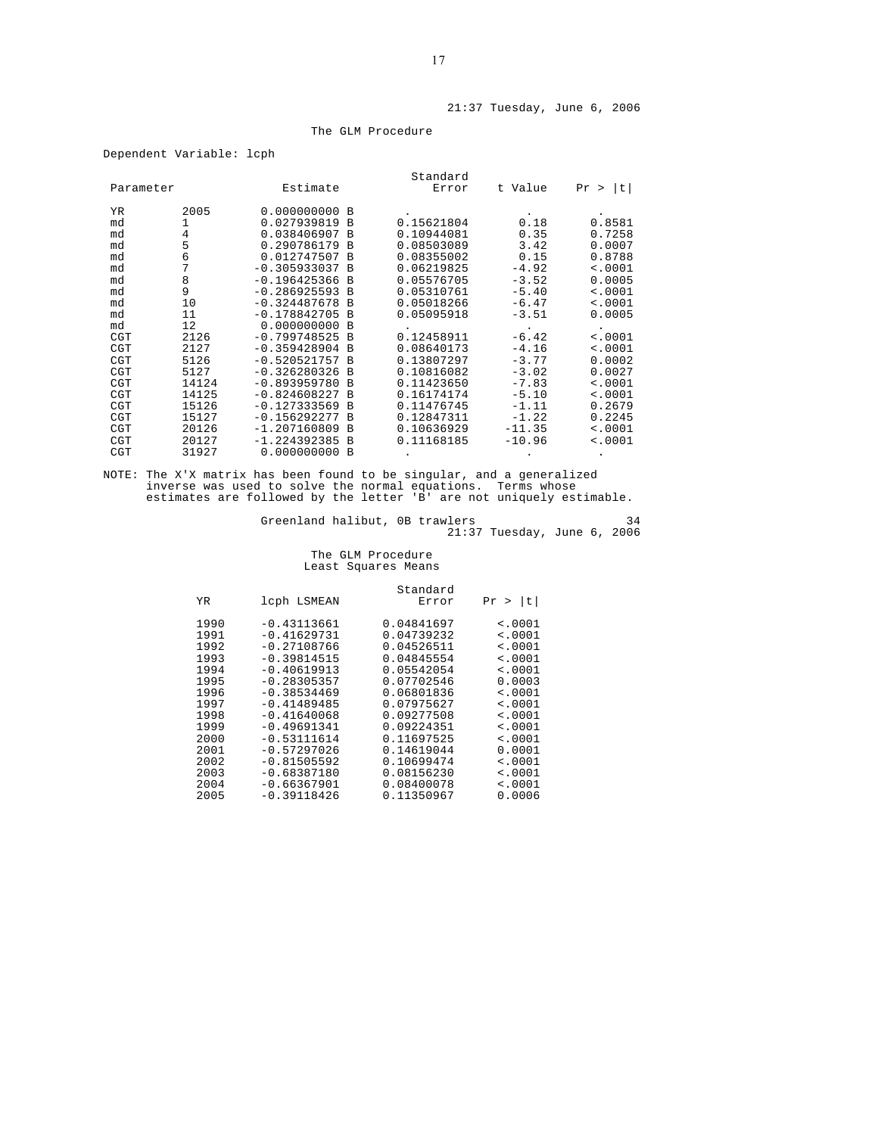#### The GLM Procedure

| Parameter  |        | Estimate                   |               | Standard<br>Error        | t Value      | t <br>Pr<br>$\geq$ |
|------------|--------|----------------------------|---------------|--------------------------|--------------|--------------------|
| <b>YR</b>  | 2005   | 0.000000000                | B<br>B        |                          |              |                    |
| md         | 1      | 0.027939819                |               | 0.15621804               | 0.18         | 0.8581             |
| md         | 4      | 0.038406907<br>0.290786179 | <b>B</b><br>B | 0.10944081               | 0.35         | 0.7258             |
| md<br>md   | 5<br>6 | 0.012747507                | <b>B</b>      | 0.08503089<br>0.08355002 | 3.42<br>0.15 | 0.0007<br>0.8788   |
| md         | 7      | $-0.305933037$             | B             | 0.06219825               | $-4.92$      | < .0001            |
| md         | 8      | $-0.196425366$             | B             | 0.05576705               | $-3.52$      | 0.0005             |
| md         | 9      | $-0.286925593$             | B             | 0.05310761               | $-5.40$      | < .0001            |
| md         | 10     | $-0.324487678$             | B             | 0.05018266               | $-6.47$      | < .0001            |
| md         | 11     | $-0.178842705$             | B             | 0.05095918               | $-3.51$      | 0.0005             |
| md         | 12     | 0.000000000                | B             |                          |              |                    |
| <b>CGT</b> | 2126   | $-0.799748525$             | B             | 0.12458911               | $-6.42$      | < .0001            |
| <b>CGT</b> | 2127   | $-0.359428904$             | B             | 0.08640173               | $-4.16$      | < .0001            |
| <b>CGT</b> | 5126   | $-0.520521757$             | B             | 0.13807297               | $-3.77$      | 0.0002             |
| <b>CGT</b> | 5127   | $-0.326280326$             | B             | 0.10816082               | $-3.02$      | 0.0027             |
| <b>CGT</b> | 14124  | $-0.893959780$             | B             | 0.11423650               | $-7.83$      | < .0001            |
| CGT        | 14125  | $-0.824608227$             | B             | 0.16174174               | $-5.10$      | < .0001            |
| <b>CGT</b> | 15126  | $-0.127333569$             | B             | 0.11476745               | $-1.11$      | 0.2679             |
| <b>CGT</b> | 15127  | $-0.156292277$             | B             | 0.12847311               | $-1.22$      | 0.2245             |
| CGT        | 20126  | $-1.207160809$             | B             | 0.10636929               | $-11.35$     | < .0001            |
| <b>CGT</b> | 20127  | $-1.224392385$             | B             | 0.11168185               | $-10.96$     | < .0001            |
| <b>CGT</b> | 31927  | 0.000000000                | B             |                          |              |                    |

NOTE: The X'X matrix has been found to be singular, and a generalized inverse was used to solve the normal equations. Terms whose estimates are followed by the letter 'B' are not uniquely estimable.

Greenland halibut, 0B trawlers and the state of  $34$ 21:37 Tuesday, June 6, 2006

> The GLM Procedure Least Squares Means

|                    | Standard   |               |      |
|--------------------|------------|---------------|------|
| t <br>Pr<br>$\geq$ | Error      | lcph LSMEAN   | ΥR   |
| < .0001            | 0.04841697 | $-0.43113661$ | 1990 |
| < .0001            | 0.04739232 | $-0.41629731$ | 1991 |
| < .0001            | 0.04526511 | $-0.27108766$ | 1992 |
| < .0001            | 0.04845554 | $-0.39814515$ | 1993 |
| < .0001            | 0.05542054 | $-0.40619913$ | 1994 |
| 0.0003             | 0.07702546 | $-0.28305357$ | 1995 |
| < .0001            | 0.06801836 | $-0.38534469$ | 1996 |
| $\sim 0001$        | 0.07975627 | $-0.41489485$ | 1997 |
| < .0001            | 0.09277508 | $-0.41640068$ | 1998 |
| < .0001            | 0.09224351 | $-0.49691341$ | 1999 |
| $\sim 0001$        | 0.11697525 | $-0.53111614$ | 2000 |
| 0.0001             | 0.14619044 | $-0.57297026$ | 2001 |
| $\sim 0001$        | 0.10699474 | $-0.81505592$ | 2002 |
| $\sim$ .0001       | 0.08156230 | $-0.68387180$ | 2003 |
| < .0001            | 0.08400078 | $-0.66367901$ | 2004 |
| 0.0006             | 0.11350967 | $-0.39118426$ | 2005 |
|                    |            |               |      |

Dependent Variable: lcph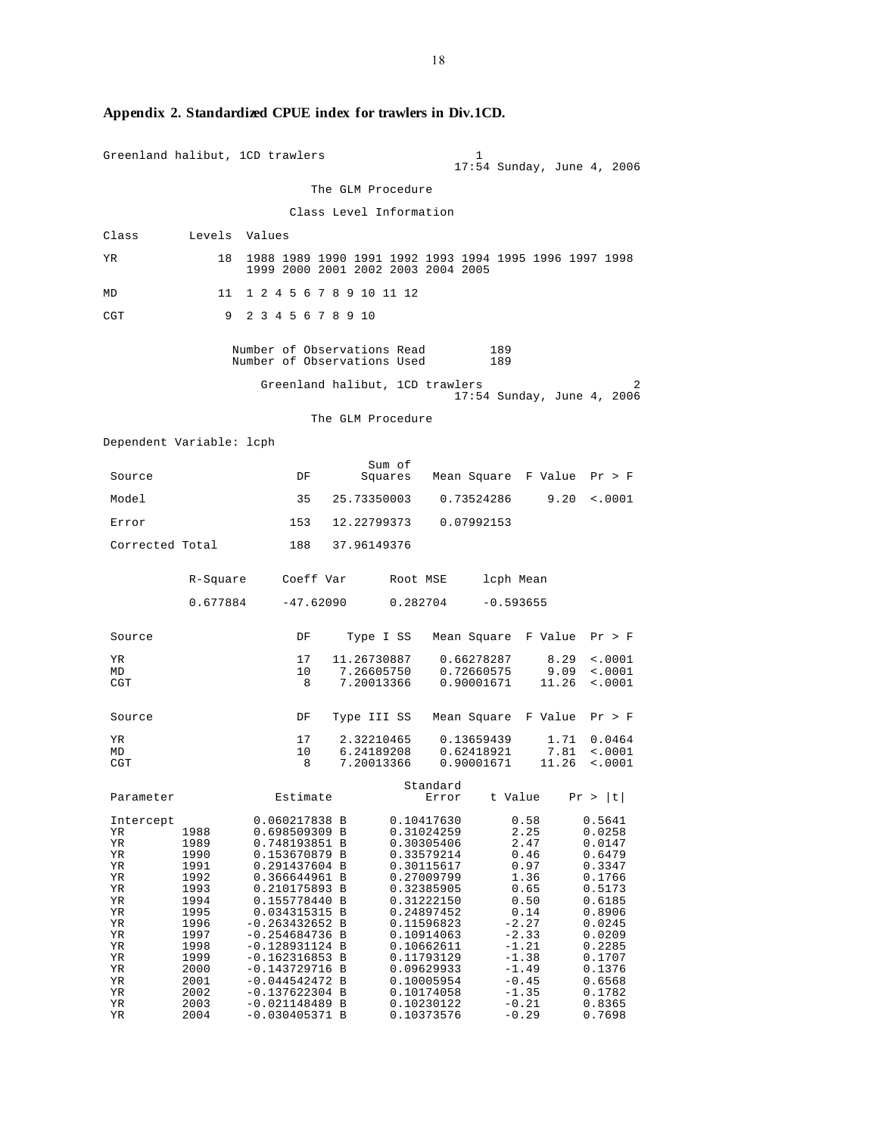|                                                                                                                 |                                                                                                                                      | Greenland halibut, 1CD trawlers                                                                                                                                                                                                                                                                                                           |                                         |          |                                                                                                                                                                                                                                                          | 1                                                                                               |                                                                      | 17:54 Sunday, June 4, 2006                                                                                                                                                       |
|-----------------------------------------------------------------------------------------------------------------|--------------------------------------------------------------------------------------------------------------------------------------|-------------------------------------------------------------------------------------------------------------------------------------------------------------------------------------------------------------------------------------------------------------------------------------------------------------------------------------------|-----------------------------------------|----------|----------------------------------------------------------------------------------------------------------------------------------------------------------------------------------------------------------------------------------------------------------|-------------------------------------------------------------------------------------------------|----------------------------------------------------------------------|----------------------------------------------------------------------------------------------------------------------------------------------------------------------------------|
|                                                                                                                 |                                                                                                                                      |                                                                                                                                                                                                                                                                                                                                           | The GLM Procedure                       |          |                                                                                                                                                                                                                                                          |                                                                                                 |                                                                      |                                                                                                                                                                                  |
|                                                                                                                 |                                                                                                                                      |                                                                                                                                                                                                                                                                                                                                           | Class Level Information                 |          |                                                                                                                                                                                                                                                          |                                                                                                 |                                                                      |                                                                                                                                                                                  |
| Class                                                                                                           | Levels Values                                                                                                                        |                                                                                                                                                                                                                                                                                                                                           |                                         |          |                                                                                                                                                                                                                                                          |                                                                                                 |                                                                      |                                                                                                                                                                                  |
| ΥR                                                                                                              | 18                                                                                                                                   | 1988 1989 1990 1991 1992 1993 1994 1995 1996 1997 1998<br>1999 2000 2001 2002 2003 2004 2005                                                                                                                                                                                                                                              |                                         |          |                                                                                                                                                                                                                                                          |                                                                                                 |                                                                      |                                                                                                                                                                                  |
| MD                                                                                                              | 11                                                                                                                                   | 1 2 4 5 6 7 8 9 10 11 12                                                                                                                                                                                                                                                                                                                  |                                         |          |                                                                                                                                                                                                                                                          |                                                                                                 |                                                                      |                                                                                                                                                                                  |
| CGT                                                                                                             | 9                                                                                                                                    | 2 3 4 5 6 7 8 9 10                                                                                                                                                                                                                                                                                                                        |                                         |          |                                                                                                                                                                                                                                                          |                                                                                                 |                                                                      |                                                                                                                                                                                  |
|                                                                                                                 |                                                                                                                                      | Number of Observations Read<br>Number of Observations Used                                                                                                                                                                                                                                                                                |                                         |          |                                                                                                                                                                                                                                                          | 189<br>189                                                                                      |                                                                      |                                                                                                                                                                                  |
|                                                                                                                 |                                                                                                                                      | Greenland halibut, 1CD trawlers                                                                                                                                                                                                                                                                                                           |                                         |          |                                                                                                                                                                                                                                                          |                                                                                                 |                                                                      | 2<br>17:54 Sunday, June 4, 2006                                                                                                                                                  |
|                                                                                                                 |                                                                                                                                      |                                                                                                                                                                                                                                                                                                                                           | The GLM Procedure                       |          |                                                                                                                                                                                                                                                          |                                                                                                 |                                                                      |                                                                                                                                                                                  |
| Dependent Variable: lcph                                                                                        |                                                                                                                                      |                                                                                                                                                                                                                                                                                                                                           |                                         |          |                                                                                                                                                                                                                                                          |                                                                                                 |                                                                      |                                                                                                                                                                                  |
|                                                                                                                 |                                                                                                                                      |                                                                                                                                                                                                                                                                                                                                           |                                         | Sum of   |                                                                                                                                                                                                                                                          |                                                                                                 |                                                                      |                                                                                                                                                                                  |
| Source                                                                                                          |                                                                                                                                      | DF                                                                                                                                                                                                                                                                                                                                        |                                         |          |                                                                                                                                                                                                                                                          |                                                                                                 |                                                                      | Squares Mean Square F Value Pr > F                                                                                                                                               |
| Model                                                                                                           |                                                                                                                                      | 35                                                                                                                                                                                                                                                                                                                                        |                                         |          | 25.73350003 0.73524286                                                                                                                                                                                                                                   |                                                                                                 | 9.20                                                                 | $\sim 0001$                                                                                                                                                                      |
| Error                                                                                                           |                                                                                                                                      |                                                                                                                                                                                                                                                                                                                                           |                                         |          | 153 12.22799373 0.07992153                                                                                                                                                                                                                               |                                                                                                 |                                                                      |                                                                                                                                                                                  |
| Corrected Total                                                                                                 |                                                                                                                                      | 188                                                                                                                                                                                                                                                                                                                                       | 37.96149376                             |          |                                                                                                                                                                                                                                                          |                                                                                                 |                                                                      |                                                                                                                                                                                  |
|                                                                                                                 | R-Square                                                                                                                             | Coeff Var                                                                                                                                                                                                                                                                                                                                 |                                         | Root MSE |                                                                                                                                                                                                                                                          | lcph Mean                                                                                       |                                                                      |                                                                                                                                                                                  |
|                                                                                                                 | 0.677884                                                                                                                             | -47.62090                                                                                                                                                                                                                                                                                                                                 |                                         |          | 0.282704                                                                                                                                                                                                                                                 | $-0.593655$                                                                                     |                                                                      |                                                                                                                                                                                  |
| Source                                                                                                          |                                                                                                                                      | DF                                                                                                                                                                                                                                                                                                                                        |                                         |          |                                                                                                                                                                                                                                                          |                                                                                                 |                                                                      | Type I SS - Mean Square - F Value - Pr > F                                                                                                                                       |
| ΥR<br>MD<br>CGT                                                                                                 |                                                                                                                                      | 17<br>10<br>- 8                                                                                                                                                                                                                                                                                                                           | 11.26730887<br>7.26605750<br>7.20013366 |          | 0.72660575<br>0.90001671                                                                                                                                                                                                                                 | 0.66278287                                                                                      | 8.29<br>9.09<br>11.26                                                | $\sim 0001$<br>$\sim 0001$<br>$\sim 0001$                                                                                                                                        |
| Source                                                                                                          |                                                                                                                                      | DF                                                                                                                                                                                                                                                                                                                                        | Type III SS                             |          |                                                                                                                                                                                                                                                          |                                                                                                 |                                                                      | Mean Square F Value Pr > F                                                                                                                                                       |
| ΥR<br>MD<br>CGT                                                                                                 |                                                                                                                                      | 17<br>10<br>8                                                                                                                                                                                                                                                                                                                             | 6.24189208<br>7.20013366                |          | 2.32210465 0.13659439<br>0.62418921<br>0.90001671                                                                                                                                                                                                        |                                                                                                 | 1.71<br>7.81<br>11.26                                                | 0.0464<br>$\sim 0001$<br>$\sim 0001$                                                                                                                                             |
| Parameter                                                                                                       |                                                                                                                                      | Estimate                                                                                                                                                                                                                                                                                                                                  |                                         |          | Standard<br>Error                                                                                                                                                                                                                                        | t Value                                                                                         |                                                                      | Pr >  t                                                                                                                                                                          |
| Intercept<br>ΥR<br>ΥR<br>ΥR<br>ΥR<br>ΥR<br>ΥR<br>ΥR<br>ΥR<br>ΥR<br>ΥR<br>ΥR<br>ΥR<br>ΥR<br>ΥR<br>ΥR<br>ΥR<br>ΥR | 1988<br>1989<br>1990<br>1991<br>1992<br>1993<br>1994<br>1995<br>1996<br>1997<br>1998<br>1999<br>2000<br>2001<br>2002<br>2003<br>2004 | 0.060217838 B<br>0.698509309 B<br>0.748193851 B<br>0.153670879 B<br>0.291437604 B<br>0.366644961 B<br>0.210175893 B<br>0.155778440 B<br>0.034315315 B<br>$-0.263432652 B$<br>$-0.254684736$ B<br>$-0.128931124$ B<br>$-0.162316853 B$<br>$-0.143729716$ B<br>$-0.044542472 B$<br>$-0.137622304$ B<br>$-0.021148489$ B<br>$-0.030405371 B$ |                                         |          | 0.10417630<br>0.31024259<br>0.30305406<br>0.33579214<br>0.30115617<br>0.27009799<br>0.32385905<br>0.31222150<br>0.24897452<br>0.11596823<br>0.10914063<br>0.10662611<br>0.11793129<br>0.09629933<br>0.10005954<br>0.10174058<br>0.10230122<br>0.10373576 | $-2.27$<br>$-2.33$<br>$-1.21$<br>$-1.38$<br>$-1.49$<br>$-0.45$<br>$-1.35$<br>$-0.21$<br>$-0.29$ | 0.58<br>2.25<br>2.47<br>0.46<br>0.97<br>1.36<br>0.65<br>0.50<br>0.14 | 0.5641<br>0.0258<br>0.0147<br>0.6479<br>0.3347<br>0.1766<br>0.5173<br>0.6185<br>0.8906<br>0.0245<br>0.0209<br>0.2285<br>0.1707<br>0.1376<br>0.6568<br>0.1782<br>0.8365<br>0.7698 |

# **Appendix 2. Standardized CPUE index for trawlers in Div.1CD.**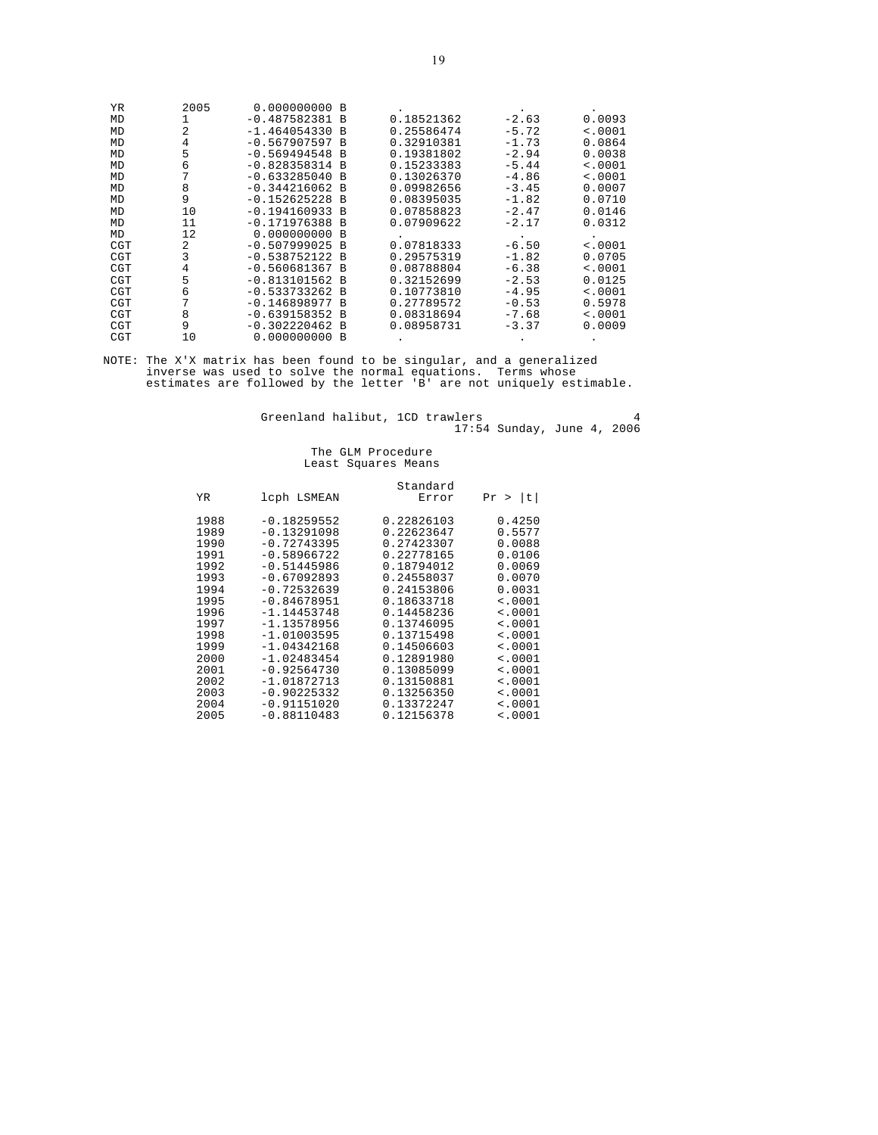| YR. | 2005 | 0.000000000      | - B            |            |         |         |
|-----|------|------------------|----------------|------------|---------|---------|
| MD  | 1    | $-0.487582381$   | B              | 0.18521362 | $-2.63$ | 0.0093  |
| MD  | 2    | $-1.464054330$   | - B            | 0.25586474 | $-5.72$ | < .0001 |
| MD  | 4    | $-0.567907597$   | B              | 0.32910381 | $-1.73$ | 0.0864  |
| MD  | 5    | $-0.569494548$   | <b>B</b>       | 0.19381802 | $-2.94$ | 0.0038  |
| MD  | 6    | $-0.828358314$   | <b>B</b>       | 0.15233383 | $-5.44$ | < .0001 |
| MD  |      | $-0.633285040$   | $\overline{B}$ | 0.13026370 | $-4.86$ | < .0001 |
| MD  | 8    | $-0.344216062 B$ |                | 0.09982656 | $-3.45$ | 0.0007  |
| MD  | 9    | $-0.152625228$   | B              | 0.08395035 | $-1.82$ | 0.0710  |
| MD  | 10   | $-0.194160933$   | B              | 0.07858823 | $-2.47$ | 0.0146  |
| MD  | 11   | $-0.171976388$   | - B            | 0.07909622 | $-2.17$ | 0.0312  |
| MD  | 12   | 0.000000000      | <b>B</b>       |            |         |         |
| CGT | 2    | $-0.507999025$   | <b>B</b>       | 0.07818333 | $-6.50$ | < .0001 |
| CGT | 3    | $-0.538752122$   | <b>B</b>       | 0.29575319 | $-1.82$ | 0.0705  |
| CGT | 4    | $-0.560681367 B$ |                | 0.08788804 | $-6.38$ | < .0001 |
| CGT | 5    | $-0.813101562 B$ |                | 0.32152699 | $-2.53$ | 0.0125  |
| CGT | 6    | $-0.533733262$   | - B            | 0.10773810 | $-4.95$ | < .0001 |
| CGT | 7    | $-0.146898977$   | B              | 0.27789572 | $-0.53$ | 0.5978  |
| CGT | 8    | $-0.639158352 B$ |                | 0.08318694 | $-7.68$ | < .0001 |
| CGT | 9    | $-0.302220462$ B |                | 0.08958731 | $-3.37$ | 0.0009  |
| CGT | 10   | 0.000000000      | B              |            |         |         |

NOTE: The X'X matrix has been found to be singular, and a generalized inverse was used to solve the normal equations. Terms whose estimates are followed by the letter 'B' are not uniquely estimable.

Greenland halibut, 1CD trawlers and the state of  $4$ 17:54 Sunday, June 4, 2006

#### The GLM Procedure Least Squares Means

|              |                                | Standard                 |                  |
|--------------|--------------------------------|--------------------------|------------------|
| ΥR           | lcph LSMEAN                    | Error                    | t <br>Pr >       |
| 1988<br>1989 | $-0.18259552$<br>$-0.13291098$ | 0.22826103<br>0.22623647 | 0.4250<br>0.5577 |
| 1990         | $-0.72743395$                  | 0.27423307               | 0.0088           |
| 1991         | $-0.58966722$                  | 0.22778165               | 0.0106           |
| 1992         | $-0.51445986$                  | 0.18794012               | 0.0069           |
| 1993         | $-0.67092893$                  | 0.24558037               | 0.0070           |
| 1994         | $-0.72532639$                  | 0.24153806               | 0.0031           |
| 1995         | $-0.84678951$                  | 0.18633718               | < .0001          |
| 1996         | $-1.14453748$                  | 0.14458236               | < .0001          |
| 1997         | $-1.13578956$                  | 0.13746095               | < .0001          |
| 1998         | $-1.01003595$                  | 0.13715498               | < .0001          |
| 1999         | $-1.04342168$                  | 0.14506603               | < .0001          |
| 2000         | $-1.02483454$                  | 0.12891980               | < .0001          |
| 2001         | $-0.92564730$                  | 0.13085099               | < .0001          |
| 2002         | $-1.01872713$                  | 0.13150881               | < .0001          |
| 2003         | $-0.90225332$                  | 0.13256350               | < .0001          |
| 2004         | $-0.91151020$                  | 0.13372247               | < .0001          |
| 2005         | $-0.88110483$                  | 0.12156378               | < .0001          |
|              |                                |                          |                  |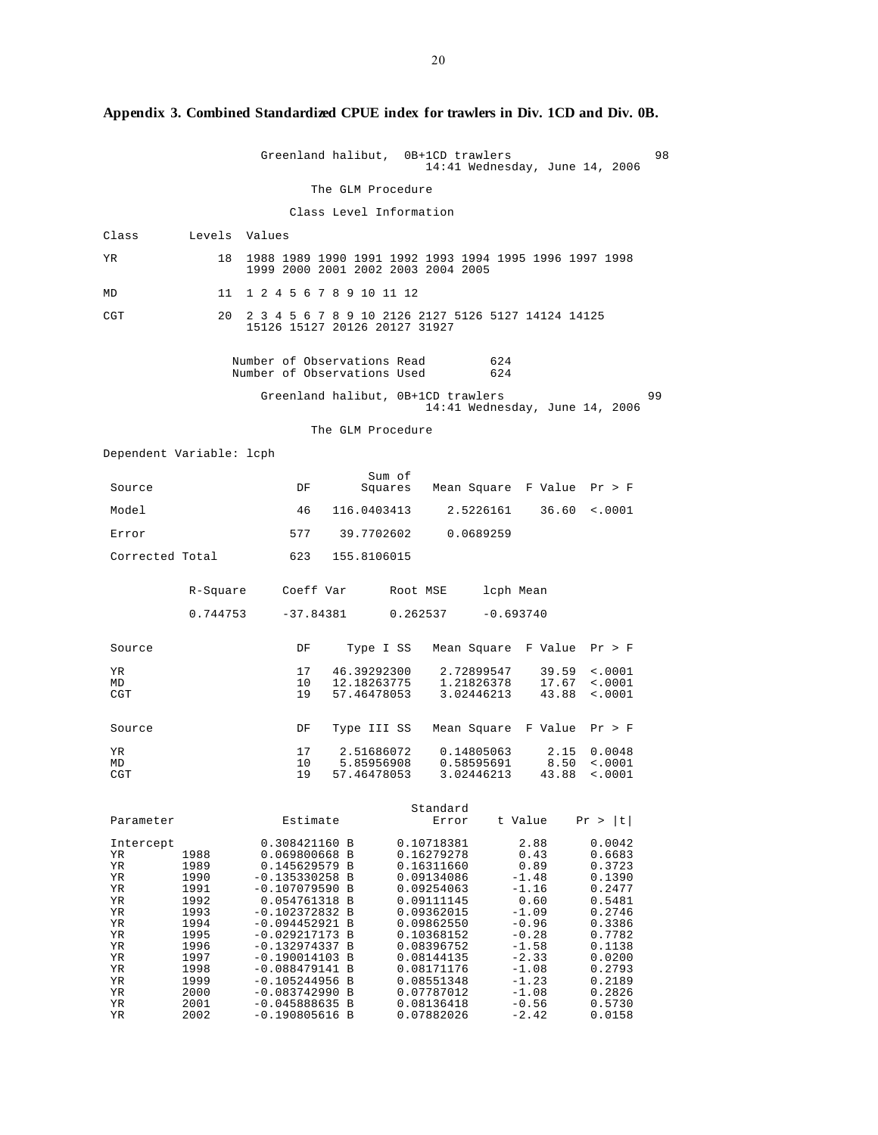|                          |               | Greenland halibut,                                                                           |                            |        | 0B+1CD trawlers          |                          | 14:41 Wednesday, June 14, 2006         |                            | 98 |
|--------------------------|---------------|----------------------------------------------------------------------------------------------|----------------------------|--------|--------------------------|--------------------------|----------------------------------------|----------------------------|----|
|                          |               |                                                                                              | The GLM Procedure          |        |                          |                          |                                        |                            |    |
|                          |               |                                                                                              | Class Level Information    |        |                          |                          |                                        |                            |    |
| Class                    | Levels Values |                                                                                              |                            |        |                          |                          |                                        |                            |    |
| ΥR                       | 18            | 1988 1989 1990 1991 1992 1993 1994 1995 1996 1997 1998<br>1999 2000 2001 2002 2003 2004 2005 |                            |        |                          |                          |                                        |                            |    |
| MD                       | 11            | 1 2 4 5 6 7 8 9 10 11 12                                                                     |                            |        |                          |                          |                                        |                            |    |
| CGT                      | 20            | 2 3 4 5 6 7 8 9 10 2126 2127 5126 5127 14124 14125<br>15126 15127 20126 20127 31927          |                            |        |                          |                          |                                        |                            |    |
|                          |               | Number of Observations Read<br>Number of Observations Used                                   |                            |        |                          | 624<br>624               |                                        |                            |    |
|                          |               | Greenland halibut, 0B+1CD trawlers                                                           |                            |        |                          |                          | 14:41 Wednesday, June 14, 2006         |                            | 99 |
|                          |               |                                                                                              | The GLM Procedure          |        |                          |                          |                                        |                            |    |
| Dependent Variable: lcph |               |                                                                                              |                            |        |                          |                          |                                        |                            |    |
| Source                   |               | DF                                                                                           |                            | Sum of |                          |                          | Squares Mean Square F Value Pr > F     |                            |    |
| Model                    |               | 46                                                                                           | 116.0403413                |        |                          | 2.5226161                | 36.60                                  | < .0001                    |    |
| Error                    |               |                                                                                              | 577 39.7702602             |        | 0.0689259                |                          |                                        |                            |    |
| Corrected Total          |               | 623                                                                                          | 155.8106015                |        |                          |                          |                                        |                            |    |
|                          | R-Square      |                                                                                              | Coeff Var                  |        | Root MSE                 | lcph Mean                |                                        |                            |    |
|                          | 0.744753      |                                                                                              | $-37.84381$                |        | 0.262537                 | $-0.693740$              |                                        |                            |    |
|                          |               |                                                                                              |                            |        |                          |                          |                                        |                            |    |
| Source                   |               | DF                                                                                           | Type I SS                  |        |                          |                          | Mean Square F Value Pr > F             |                            |    |
| ΥR<br>MD                 |               | 17<br>10                                                                                     | 46.39292300<br>12.18263775 |        |                          | 2.72899547<br>1.21826378 | 39.59<br>17.67                         | $\sim 0001$<br>$\sim 0001$ |    |
| CGT                      |               | 19                                                                                           | 57.46478053                |        | 3.02446213               |                          | 43.88                                  | $\sim 0001$                |    |
| Source                   |               | DF                                                                                           |                            |        |                          |                          | Type III SS Mean Square F Value Pr > F |                            |    |
| ΥR<br>МD                 |               | 17<br>10                                                                                     | 2.51686072<br>5.85956908   |        | 0.14805063<br>0.58595691 |                          | 2.15<br>8.50                           | 0.0048<br>$\sim 0001$      |    |
| CGT                      |               | 19                                                                                           | 57.46478053                |        | 3.02446213               |                          | 43.88                                  | < .0001                    |    |
| Parameter                |               | Estimate                                                                                     |                            |        | Standard<br>Error        |                          | t Value                                | Pr >  t                    |    |
| Intercept                |               | 0.308421160 B                                                                                |                            |        | 0.10718381               |                          | 2.88                                   | 0.0042                     |    |
| ΥR<br>ΥR                 | 1988<br>1989  | 0.069800668 B<br>0.145629579 B                                                               |                            |        | 0.16279278<br>0.16311660 |                          | 0.43<br>0.89                           | 0.6683<br>0.3723           |    |
| ΥR<br>ΥR                 | 1990<br>1991  | $-0.135330258$ B<br>$-0.107079590$ B                                                         |                            |        | 0.09134086<br>0.09254063 |                          | $-1.48$<br>$-1.16$                     | 0.1390<br>0.2477           |    |
| ΥR<br>ΥR                 | 1992<br>1993  | 0.054761318 B<br>$-0.102372832 B$                                                            |                            |        | 0.09111145<br>0.09362015 |                          | 0.60<br>$-1.09$                        | 0.5481<br>0.2746           |    |
| ΥR                       | 1994          | $-0.094452921 B$                                                                             |                            |        | 0.09862550               |                          | $-0.96$                                | 0.3386                     |    |
| ΥR<br>ΥR                 | 1995<br>1996  | $-0.029217173 B$<br>$-0.132974337 B$                                                         |                            |        | 0.10368152<br>0.08396752 |                          | $-0.28$<br>$-1.58$                     | 0.7782<br>0.1138           |    |
| ΥR                       | 1997          | $-0.190014103$ B                                                                             |                            |        | 0.08144135<br>0.08171176 |                          | $-2.33$<br>$-1.08$                     | 0.0200                     |    |
| ΥR<br>ΥR                 | 1998<br>1999  | $-0.088479141 B$<br>$-0.105244956$ B                                                         |                            |        | 0.08551348               |                          | $-1.23$                                | 0.2793<br>0.2189           |    |
| ΥR<br>ΥR                 | 2000<br>2001  | $-0.083742990 B$<br>$-0.045888635 B$                                                         |                            |        | 0.07787012<br>0.08136418 |                          | $-1.08$<br>$-0.56$                     | 0.2826<br>0.5730           |    |
| ΥR                       | 2002          | $-0.190805616$ B                                                                             |                            |        | 0.07882026               |                          | $-2.42$                                | 0.0158                     |    |

**Appendix 3. Combined Standardized CPUE index for trawlers in Div. 1CD and Div. 0B.**